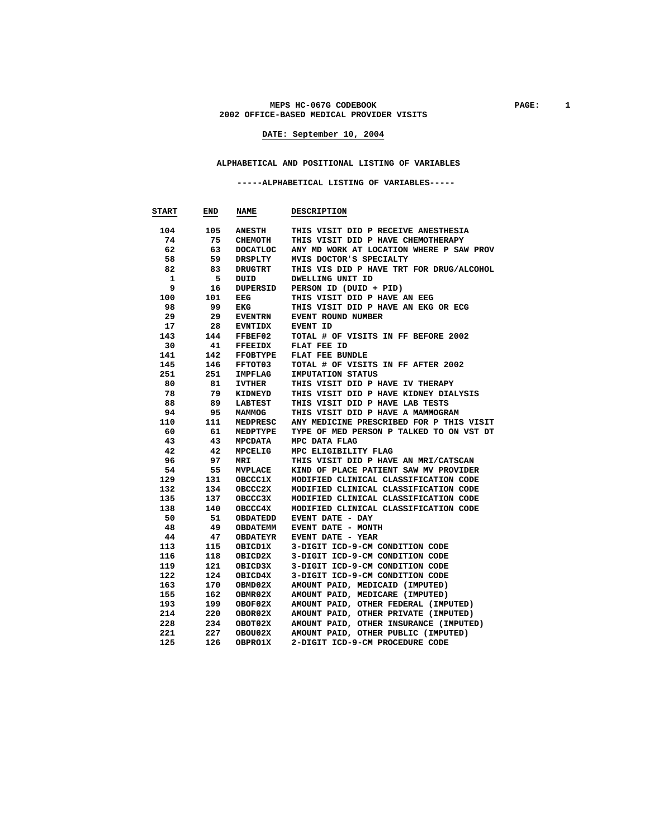#### **MEPS HC-067G CODEBOOK PAGE: 1 2002 OFFICE-BASED MEDICAL PROVIDER VISITS**

## **DATE: September 10, 2004**

## **ALPHABETICAL AND POSITIONAL LISTING OF VARIABLES**

 **-----ALPHABETICAL LISTING OF VARIABLES-----** 

| <b>START</b> | END        | <b>NAME</b>        | <b>DESCRIPTION</b>                                                 |
|--------------|------------|--------------------|--------------------------------------------------------------------|
| 104          | 105        | <b>ANESTH</b>      | THIS VISIT DID P RECEIVE ANESTHESIA                                |
| 74           | 75         | CHEMOTH            | THIS VISIT DID P HAVE CHEMOTHERAPY                                 |
| 62           | 63         | <b>DOCATLOC</b>    | ANY MD WORK AT LOCATION WHERE P SAW PROV                           |
| 58           | 59         | DRSPLTY            | MVIS DOCTOR'S SPECIALTY                                            |
| 82           | 83         | DRUGTRT            | THIS VIS DID P HAVE TRT FOR DRUG/ALCOHOL                           |
| 1            | 5          | DUID               | DWELLING UNIT ID                                                   |
| 9            | 16         | DUPERSID           | PERSON ID (DUID + PID)                                             |
| 100          | 101        | EEG                | THIS VISIT DID P HAVE AN EEG                                       |
| 98           | 99         | EKG                | THIS VISIT DID P HAVE AN EKG OR ECG                                |
| 29           | 29         | <b>EVENTRN</b>     | EVENT ROUND NUMBER                                                 |
| 17           | 28         | <b>EVNTIDX</b>     | EVENT ID                                                           |
| 143          | 144        | FFBEF02            | TOTAL # OF VISITS IN FF BEFORE 2002                                |
| 30           | 41         | <b>FFEEIDX</b>     | FLAT FEE ID                                                        |
| 141          | 142        | <b>FFOBTYPE</b>    | <b>FLAT FEE BUNDLE</b>                                             |
| 145          | 146        | FFTOT03            | TOTAL # OF VISITS IN FF AFTER 2002                                 |
| 251          | 251        | IMPFLAG            | <b>IMPUTATION STATUS</b>                                           |
| 80           | 81         | <b>IVTHER</b>      | THIS VISIT DID P HAVE IV THERAPY                                   |
| 78           | 79         | KIDNEYD            | THIS VISIT DID P HAVE KIDNEY DIALYSIS                              |
| 88           | 89         | LABTEST            | THIS VISIT DID P HAVE LAB TESTS                                    |
| 94           | 95         | <b>MAMMOG</b>      | THIS VISIT DID P HAVE A MAMMOGRAM                                  |
| 110          | 111        | MEDPRESC           | ANY MEDICINE PRESCRIBED FOR P THIS VISIT                           |
| 60           | 61         | MEDPTYPE           | TYPE OF MED PERSON P TALKED TO ON VST DT                           |
| 43           | 43         | MPCDATA            | MPC DATA FLAG                                                      |
| 42           | 42         | MPCELIG            | MPC ELIGIBILITY FLAG                                               |
| 96           | 97         | MRI                | THIS VISIT DID P HAVE AN MRI/CATSCAN                               |
| 54           | 55         | <b>MVPLACE</b>     | KIND OF PLACE PATIENT SAW MV PROVIDER                              |
| 129          | 131        | <b>OBCCC1X</b>     | MODIFIED CLINICAL CLASSIFICATION CODE                              |
| 132          | 134        | OBCCC2X            | MODIFIED CLINICAL CLASSIFICATION CODE                              |
| 135          | 137        | OBCCC3X            | MODIFIED CLINICAL CLASSIFICATION CODE                              |
| 138          | 140        | OBCCC4X            | MODIFIED CLINICAL CLASSIFICATION CODE                              |
| 50           | 51         | <b>OBDATEDD</b>    | EVENT DATE - DAY                                                   |
| 48           | 49         | OBDATEMM           | EVENT DATE - MONTH                                                 |
| 44           | 47         | <b>OBDATEYR</b>    | <b>EVENT DATE - YEAR</b>                                           |
| 113          | 115        | OBICD1X            | 3-DIGIT ICD-9-CM CONDITION CODE                                    |
| 116          | 118        | OBICD2X            | 3-DIGIT ICD-9-CM CONDITION CODE                                    |
| 119          | 121        | OBICD3X            | 3-DIGIT ICD-9-CM CONDITION CODE                                    |
| 122<br>163   | 124<br>170 | OBICD4X            | 3-DIGIT ICD-9-CM CONDITION CODE<br>AMOUNT PAID, MEDICAID (IMPUTED) |
| 155          | 162        | OBMD02X            | AMOUNT PAID, MEDICARE (IMPUTED)                                    |
| 193          | 199        | OBMR02X<br>OBOF02X | AMOUNT PAID, OTHER FEDERAL (IMPUTED)                               |
| 214          | 220        | OBOR02X            | AMOUNT PAID, OTHER PRIVATE (IMPUTED)                               |
| 228          | 234        | OBOT02X            | AMOUNT PAID, OTHER INSURANCE (IMPUTED)                             |
| 221          | 227        | OBOU02X            | AMOUNT PAID, OTHER PUBLIC (IMPUTED)                                |
| 125          | 126        | OBPRO1X            | 2-DIGIT ICD-9-CM PROCEDURE CODE                                    |
|              |            |                    |                                                                    |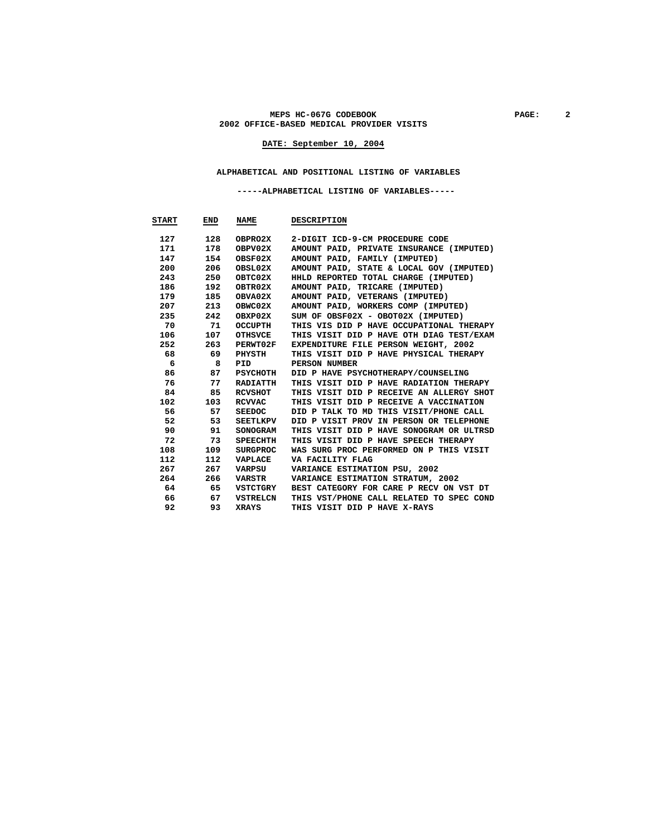#### MEPS HC-067G CODEBOOK PAGE: 2 **2002 OFFICE-BASED MEDICAL PROVIDER VISITS**

## **DATE: September 10, 2004**

#### **ALPHABETICAL AND POSITIONAL LISTING OF VARIABLES**

 **-----ALPHABETICAL LISTING OF VARIABLES-----** 

| <b>START</b> | END | <b>NAME</b>     | <b>DESCRIPTION</b>                       |
|--------------|-----|-----------------|------------------------------------------|
| 127          | 128 | OBPRO2X         | 2-DIGIT ICD-9-CM PROCEDURE CODE          |
| 171          | 178 | OBPV02X         | AMOUNT PAID, PRIVATE INSURANCE (IMPUTED) |
| 147          | 154 | OBSF02X         | AMOUNT PAID, FAMILY (IMPUTED)            |
| 200          | 206 | OBSL02X         | AMOUNT PAID, STATE & LOCAL GOV (IMPUTED) |
| 243          | 250 | OBTC02X         | HHLD REPORTED TOTAL CHARGE (IMPUTED)     |
| 186          | 192 | OBTR02X         | AMOUNT PAID, TRICARE (IMPUTED)           |
| 179          | 185 | OBVA02X         | AMOUNT PAID, VETERANS (IMPUTED)          |
| 207          | 213 | OBWC02X         | AMOUNT PAID, WORKERS COMP (IMPUTED)      |
| 235          | 242 | OBXP02X         | SUM OF OBSF02X - OBOT02X (IMPUTED)       |
| 70           | 71  | OCCUPTH         | THIS VIS DID P HAVE OCCUPATIONAL THERAPY |
| 106          | 107 | OTHSVCE         | THIS VISIT DID P HAVE OTH DIAG TEST/EXAM |
| 252          | 263 | PERWT02F        | EXPENDITURE FILE PERSON WEIGHT, 2002     |
| 68           | 69  | PHYSTH          | THIS VISIT DID P HAVE PHYSICAL THERAPY   |
| 6            | 8   | PID             | PERSON NUMBER                            |
| 86           | 87  | PSYCHOTH        | DID P HAVE PSYCHOTHERAPY/COUNSELING      |
| 76           | 77  | RADIATTH        | THIS VISIT DID P HAVE RADIATION THERAPY  |
| 84           | 85  | <b>RCVSHOT</b>  | THIS VISIT DID P RECEIVE AN ALLERGY SHOT |
| 102          | 103 | RCVVAC          | THIS VISIT DID P RECEIVE A VACCINATION   |
| 56           | 57  | SEEDOC          | DID P TALK TO MD THIS VISIT/PHONE CALL   |
| 52           | 53  | <b>SEETLKPV</b> | DID P VISIT PROV IN PERSON OR TELEPHONE  |
| 90           | 91  | <b>SONOGRAM</b> | THIS VISIT DID P HAVE SONOGRAM OR ULTRSD |
| 72           | 73  | SPEECHTH        | THIS VISIT DID P HAVE SPEECH THERAPY     |
| 108          | 109 | SURGPROC        | WAS SURG PROC PERFORMED ON P THIS VISIT  |
| 112          | 112 | VAPLACE         | VA FACILITY FLAG                         |
| 267          | 267 | VARPSU          | VARIANCE ESTIMATION PSU, 2002            |
| 264          | 266 | VARSTR          | VARIANCE ESTIMATION STRATUM, 2002        |
| 64           | 65  | VSTCTGRY        | BEST CATEGORY FOR CARE P RECV ON VST DT  |
| 66           | 67  | VSTRELCN        | THIS VST/PHONE CALL RELATED TO SPEC COND |
| 92           | 93  | <b>XRAYS</b>    | THIS VISIT DID P HAVE X-RAYS             |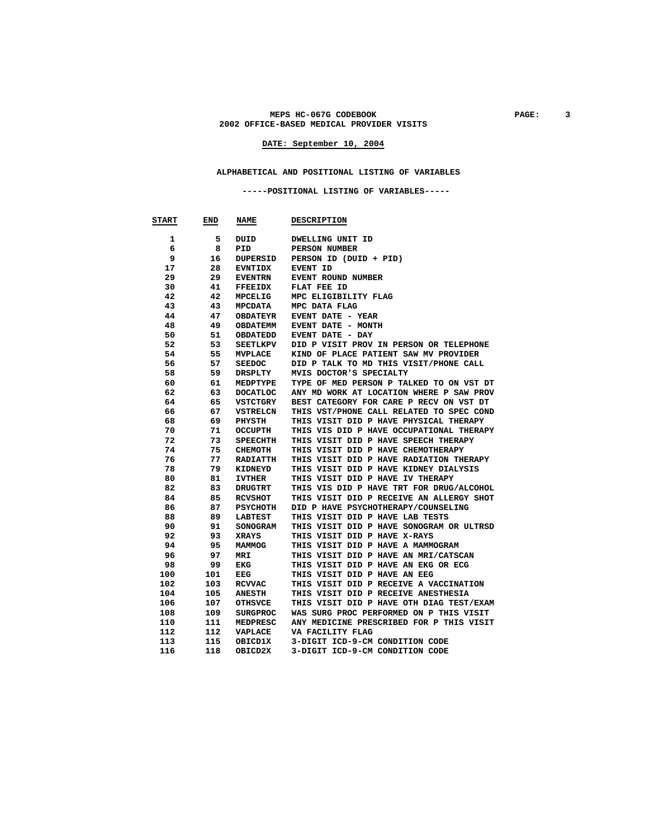#### MEPS HC-067G CODEBOOK PAGE: 3 **2002 OFFICE-BASED MEDICAL PROVIDER VISITS**

## **DATE: September 10, 2004**

#### **ALPHABETICAL AND POSITIONAL LISTING OF VARIABLES**

 **-----POSITIONAL LISTING OF VARIABLES-----** 

| <b>START</b> | END      | <b>NAME</b>            | <b>DESCRIPTION</b>                                                       |
|--------------|----------|------------------------|--------------------------------------------------------------------------|
| 1            | 5        | DUID                   | DWELLING UNIT ID                                                         |
| 6            | 8        | PID                    | PERSON NUMBER                                                            |
| 9            | 16       | DUPERSID               | PERSON ID (DUID + PID)                                                   |
| 17           | 28       | <b>EVNTIDX</b>         | EVENT ID                                                                 |
| 29           | 29       | <b>EVENTRN</b>         | EVENT ROUND NUMBER                                                       |
| 30           | 41       | <b>FFEEIDX</b>         | FLAT FEE ID                                                              |
| 42           | 42       | <b>MPCELIG</b>         | MPC ELIGIBILITY FLAG                                                     |
| 43           | 43       | <b>MPCDATA</b>         | MPC DATA FLAG                                                            |
| 44           | 47       | <b>OBDATEYR</b>        | EVENT DATE - YEAR                                                        |
| 48           | 49       | <b>OBDATEMM</b>        | EVENT DATE - MONTH                                                       |
| 50           | 51       | OBDATEDD               | EVENT DATE - DAY                                                         |
| 52           | 53       | <b>SEETLKPV</b>        | DID P VISIT PROV IN PERSON OR TELEPHONE                                  |
| 54           | 55       | <b>MVPLACE</b>         | KIND OF PLACE PATIENT SAW MV PROVIDER                                    |
| 56           | 57       | <b>SEEDOC</b>          | DID P TALK TO MD THIS VISIT/PHONE CALL                                   |
| 58           | 59       | DRSPLTY                | MVIS DOCTOR'S SPECIALTY                                                  |
| 60           | 61       | MEDPTYPE               | TYPE OF MED PERSON P TALKED TO ON VST DT                                 |
| 62           | 63       | <b>DOCATLOC</b>        | ANY MD WORK AT LOCATION WHERE P SAW PROV                                 |
| 64           | 65       | VSTCTGRY               | BEST CATEGORY FOR CARE P RECV ON VST DT                                  |
| 66           | 67       | <b>VSTRELCN</b>        | THIS VST/PHONE CALL RELATED TO SPEC COND                                 |
| 68           | 69       | PHYSTH                 | THIS VISIT DID P HAVE PHYSICAL THERAPY                                   |
| 70           | 71       | <b>OCCUPTH</b>         | THIS VIS DID P HAVE OCCUPATIONAL THERAPY                                 |
| 72           | 73       | <b>SPEECHTH</b>        | THIS VISIT DID P HAVE SPEECH THERAPY                                     |
| 74           | 75       | CHEMOTH                | THIS VISIT DID P HAVE CHEMOTHERAPY                                       |
| 76           | 77       | <b>RADIATTH</b>        | THIS VISIT DID P HAVE RADIATION THERAPY                                  |
| 78           | 79       | KIDNEYD                | THIS VISIT DID P HAVE KIDNEY DIALYSIS                                    |
| 80           | 81       | <b>IVTHER</b>          | THIS VISIT DID P HAVE IV THERAPY                                         |
| 82           | 83       | <b>DRUGTRT</b>         | THIS VIS DID P HAVE TRT FOR DRUG/ALCOHOL                                 |
| 84           | 85       | <b>RCVSHOT</b>         | THIS VISIT DID P RECEIVE AN ALLERGY SHOT                                 |
| 86           | 87       | <b>PSYCHOTH</b>        | DID P HAVE PSYCHOTHERAPY/COUNSELING                                      |
| 88           | 89       | <b>LABTEST</b>         | THIS VISIT DID P HAVE LAB TESTS                                          |
| 90<br>92     | 91<br>93 | SONOGRAM               | THIS VISIT DID P HAVE SONOGRAM OR ULTRSD<br>THIS VISIT DID P HAVE X-RAYS |
| 94           | 95       | <b>XRAYS</b><br>MAMMOG | THIS VISIT DID P HAVE A MAMMOGRAM                                        |
| 96           | 97       | MRI                    | THIS VISIT DID P HAVE AN MRI/CATSCAN                                     |
| 98           | 99       | EKG                    | THIS VISIT DID P HAVE AN EKG OR ECG                                      |
| 100          | 101      | EEG                    | THIS VISIT DID P HAVE AN EEG                                             |
| 102          | 103      | <b>RCVVAC</b>          | THIS VISIT DID P RECEIVE A VACCINATION                                   |
| 104          | 105      | <b>ANESTH</b>          | THIS VISIT DID P RECEIVE ANESTHESIA                                      |
| 106          | 107      | <b>OTHSVCE</b>         | THIS VISIT DID P HAVE OTH DIAG TEST/EXAM                                 |
| 108          | 109      | <b>SURGPROC</b>        | WAS SURG PROC PERFORMED ON P THIS VISIT                                  |
| 110          | 111      | MEDPRESC               | ANY MEDICINE PRESCRIBED FOR P THIS VISIT                                 |
| 112          | 112      | VAPLACE                | VA FACILITY FLAG                                                         |
| 113          | 115      | OBICD1X                | 3-DIGIT ICD-9-CM CONDITION CODE                                          |
| 116          | 118      | OBICD2X                | 3-DIGIT ICD-9-CM CONDITION CODE                                          |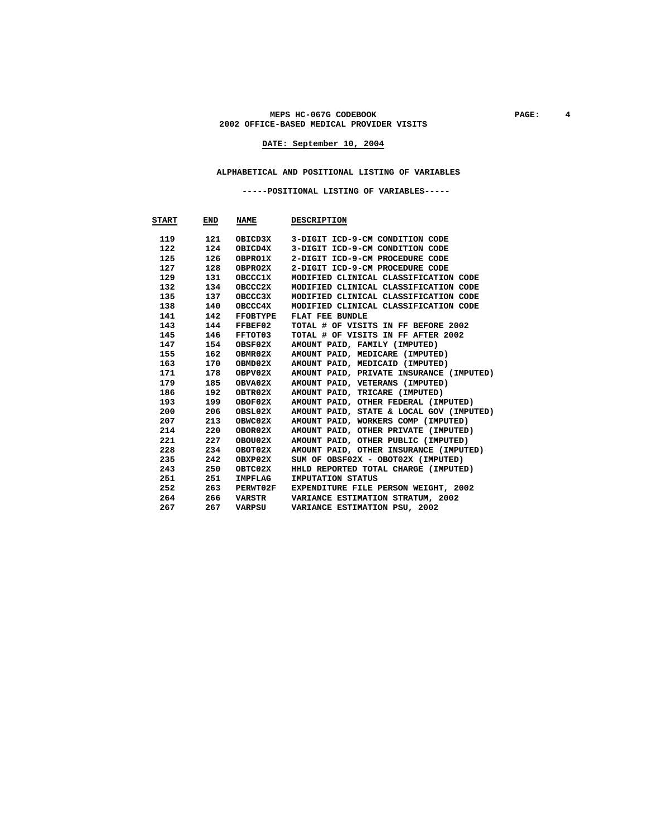#### MEPS HC-067G CODEBOOK PAGE: 4 **2002 OFFICE-BASED MEDICAL PROVIDER VISITS**

## **DATE: September 10, 2004**

#### **ALPHABETICAL AND POSITIONAL LISTING OF VARIABLES**

 **-----POSITIONAL LISTING OF VARIABLES-----** 

| START | END | <b>NAME</b>     | <b>DESCRIPTION</b>                       |
|-------|-----|-----------------|------------------------------------------|
|       |     |                 |                                          |
| 119   | 121 | OBICD3X         | 3-DIGIT ICD-9-CM CONDITION CODE          |
| 122   | 124 | OBICD4X         | 3-DIGIT ICD-9-CM CONDITION CODE          |
| 125   | 126 | OBPRO1X         | 2-DIGIT ICD-9-CM PROCEDURE CODE          |
| 127   | 128 | OBPRO2X         | 2-DIGIT ICD-9-CM PROCEDURE CODE          |
| 129   | 131 | <b>OBCCC1X</b>  | MODIFIED CLINICAL CLASSIFICATION CODE    |
| 132   | 134 | OBCCC2X         | MODIFIED CLINICAL CLASSIFICATION CODE    |
| 135   | 137 | OBCCC3X         | MODIFIED CLINICAL CLASSIFICATION CODE    |
| 138   | 140 | OBCCC4X         | MODIFIED CLINICAL CLASSIFICATION CODE    |
| 141   | 142 | FFOBTYPE        | FLAT FEE BUNDLE                          |
| 143   | 144 | FFBEF02         | TOTAL # OF VISITS IN FF BEFORE 2002      |
| 145   | 146 | FFTOT03         | TOTAL # OF VISITS IN FF AFTER 2002       |
| 147   | 154 | OBSF02X         | AMOUNT PAID, FAMILY (IMPUTED)            |
| 155   | 162 | OBMR02X         | AMOUNT PAID, MEDICARE (IMPUTED)          |
| 163   | 170 | OBMD02X         | AMOUNT PAID, MEDICAID (IMPUTED)          |
| 171   | 178 | OBPV02X         | AMOUNT PAID, PRIVATE INSURANCE (IMPUTED) |
| 179   | 185 | OBVA02X         | AMOUNT PAID, VETERANS (IMPUTED)          |
| 186   | 192 | OBTR02X         | AMOUNT PAID, TRICARE (IMPUTED)           |
| 193   | 199 | OBOF02X         | AMOUNT PAID, OTHER FEDERAL (IMPUTED)     |
| 200   | 206 | OBSL02X         | AMOUNT PAID, STATE & LOCAL GOV (IMPUTED) |
| 207   | 213 | OBWC02X         | AMOUNT PAID, WORKERS COMP (IMPUTED)      |
| 214   | 220 | OBOR02X         | AMOUNT PAID, OTHER PRIVATE (IMPUTED)     |
| 221   | 227 | OBOU02X         | AMOUNT PAID, OTHER PUBLIC (IMPUTED)      |
| 228   | 234 | OBOT02X         | AMOUNT PAID, OTHER INSURANCE (IMPUTED)   |
| 235   | 242 | OBXP02X         | SUM OF OBSF02X - OBOT02X (IMPUTED)       |
| 243   | 250 | OBTC02X         | HHLD REPORTED TOTAL CHARGE (IMPUTED)     |
| 251   | 251 | IMPFLAG         | IMPUTATION STATUS                        |
| 252   | 263 | <b>PERWT02F</b> | EXPENDITURE FILE PERSON WEIGHT, 2002     |
| 264   | 266 | VARSTR          | VARIANCE ESTIMATION STRATUM, 2002        |
| 267   | 267 | VARPSU          | VARIANCE ESTIMATION PSU, 2002            |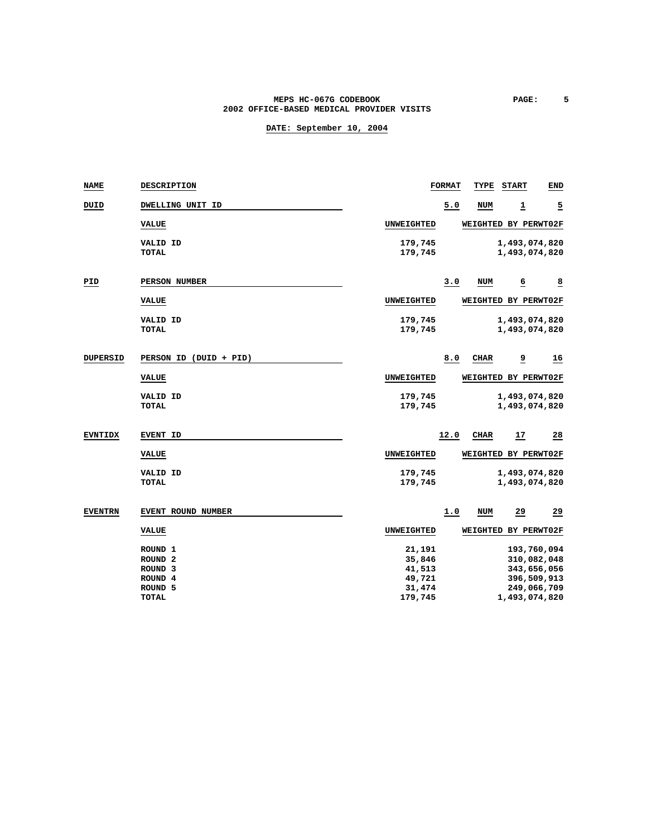#### **MEPS HC-067G CODEBOOK PAGE: 5 2002 OFFICE-BASED MEDICAL PROVIDER VISITS**

| <b>NAME</b>     | <b>DESCRIPTION</b>     |                   | <b>FORMAT</b> | TYPE       | <b>START</b>         | <b>END</b>              |
|-----------------|------------------------|-------------------|---------------|------------|----------------------|-------------------------|
| DUID            | DWELLING UNIT ID       |                   | 5.0           | <b>NUM</b> | 1                    | <u>5</u>                |
|                 | <b>VALUE</b>           | UNWEIGHTED        |               |            | WEIGHTED BY PERWT02F |                         |
|                 | VALID ID               | 179,745           |               |            | 1,493,074,820        |                         |
|                 | <b>TOTAL</b>           | 179,745           |               |            | 1,493,074,820        |                         |
| PID             | PERSON NUMBER          |                   | 3.0           | <b>NUM</b> | 6                    | $\overline{\mathbf{8}}$ |
|                 | <b>VALUE</b>           | UNWEIGHTED        |               |            | WEIGHTED BY PERWT02F |                         |
|                 | VALID ID               | 179,745           |               |            | 1,493,074,820        |                         |
|                 | <b>TOTAL</b>           | 179,745           |               |            | 1,493,074,820        |                         |
| <b>DUPERSID</b> | PERSON ID (DUID + PID) |                   | 8.0           | CHAR       | $\overline{a}$       | <u>16</u>               |
|                 | <b>VALUE</b>           | <b>UNWEIGHTED</b> |               |            | WEIGHTED BY PERWT02F |                         |
|                 | VALID ID               | 179,745           |               |            | 1,493,074,820        |                         |
|                 | <b>TOTAL</b>           | 179,745           |               |            | 1,493,074,820        |                         |
| <b>EVNTIDX</b>  | <b>EVENT ID</b>        |                   | 12.0          | CIIAR      | 17                   | $\frac{28}{1}$          |
|                 | <b>VALUE</b>           | <b>UNWEIGHTED</b> |               |            | WEIGHTED BY PERWT02F |                         |
|                 | <b>VALID ID</b>        | 179,745           |               |            | 1,493,074,820        |                         |
|                 | <b>TOTAL</b>           | 179,745           |               |            | 1,493,074,820        |                         |
| <b>EVENTRN</b>  | EVENT ROUND NUMBER     |                   | 1.0           | NUM        | 29                   | 29                      |
|                 | <b>VALUE</b>           | <b>UNWEIGHTED</b> |               |            | WEIGHTED BY PERWT02F |                         |
|                 | ROUND <sub>1</sub>     | 21,191            |               |            | 193,760,094          |                         |
|                 | ROUND <sub>2</sub>     | 35,846            |               |            | 310,082,048          |                         |
|                 | ROUND <sub>3</sub>     | 41,513            |               |            | 343,656,056          |                         |
|                 | ROUND <sub>4</sub>     | 49,721            |               |            | 396,509,913          |                         |
|                 | ROUND <sub>5</sub>     | 31,474            |               |            | 249,066,709          |                         |
|                 | <b>TOTAL</b>           | 179,745           |               |            | 1,493,074,820        |                         |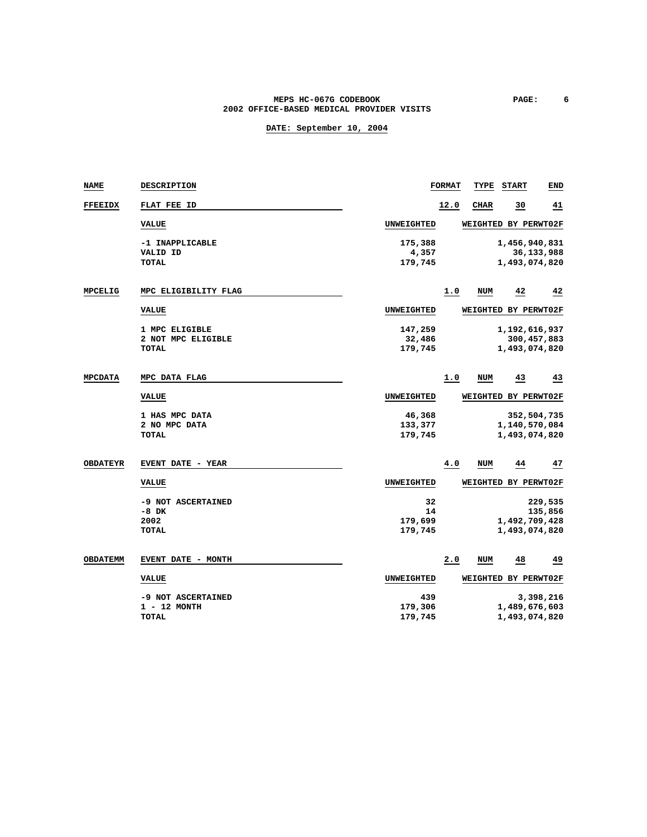### **MEPS HC-067G CODEBOOK PAGE: 6 2002 OFFICE-BASED MEDICAL PROVIDER VISITS**

| <b>NAME</b>     | <b>DESCRIPTION</b>       |                    | <b>FORMAT</b> | TYPE                 | <b>START</b>                   | <b>END</b>    |
|-----------------|--------------------------|--------------------|---------------|----------------------|--------------------------------|---------------|
| <b>FFEEIDX</b>  | FLAT FEE ID              |                    | 12.0          | CIIAR                | 30                             | 41            |
|                 | <b>VALUE</b>             | UNWEIGHTED         |               | WEIGHTED BY PERWT02F |                                |               |
|                 | -1 INAPPLICABLE          | 175,388            |               |                      | 1,456,940,831                  |               |
|                 | VALID ID<br>TOTAL        | 4,357<br>179,745   |               |                      | 1,493,074,820                  | 36,133,988    |
|                 |                          |                    |               |                      |                                |               |
| <b>MPCELIG</b>  | MPC ELIGIBILITY FLAG     |                    | 1.0           | NUM                  | 42                             | 42            |
|                 | <b>VALUE</b>             | UNWEIGHTED         |               | WEIGHTED BY PERWT02F |                                |               |
|                 | 1 MPC ELIGIBLE           | 147,259            |               |                      | 1,192,616,937                  |               |
|                 | 2 NOT MPC ELIGIBLE       | 32,486             |               |                      |                                | 300, 457, 883 |
|                 | TOTAL                    | 179,745            |               |                      | 1,493,074,820                  |               |
| <b>MPCDATA</b>  | MPC DATA FLAG            |                    | 1.0           | <b>NUM</b>           | 43                             | 43            |
|                 | <b>VALUE</b>             | UNWEIGHTED         |               | WEIGHTED BY PERWT02F |                                |               |
|                 | 1 HAS MPC DATA           | 46,368             |               |                      |                                | 352,504,735   |
|                 | 2 NO MPC DATA            | 133,377            |               |                      | 1,140,570,084                  |               |
|                 | TOTAL                    | 179,745            |               |                      | 1,493,074,820                  |               |
| <b>OBDATEYR</b> | <b>EVENT DATE - YEAR</b> |                    | 4.0           | <b>NUM</b>           | 44                             | 47            |
|                 | <b>VALUE</b>             | UNWEIGHTED         |               | WEIGHTED BY PERWT02F |                                |               |
|                 | -9 NOT ASCERTAINED       | 32                 |               |                      |                                | 229,535       |
|                 | $-8$ DK                  | 14                 |               |                      |                                | 135,856       |
|                 | 2002<br><b>TOTAL</b>     | 179,699<br>179,745 |               |                      | 1,492,709,428<br>1,493,074,820 |               |
|                 |                          |                    |               |                      |                                |               |
| <b>OBDATEMM</b> | EVENT DATE - MONTH       |                    | 2.0           | <b>NUM</b>           | 48                             | 49            |
|                 | <b>VALUE</b>             | UNWEIGHTED         |               | WEIGHTED BY PERWT02F |                                |               |
|                 | -9 NOT ASCERTAINED       | 439                |               |                      |                                | 3,398,216     |
|                 | 1 - 12 MONTH             | 179,306            |               |                      | 1,489,676,603                  |               |
|                 | TOTAL                    | 179,745            |               |                      | 1,493,074,820                  |               |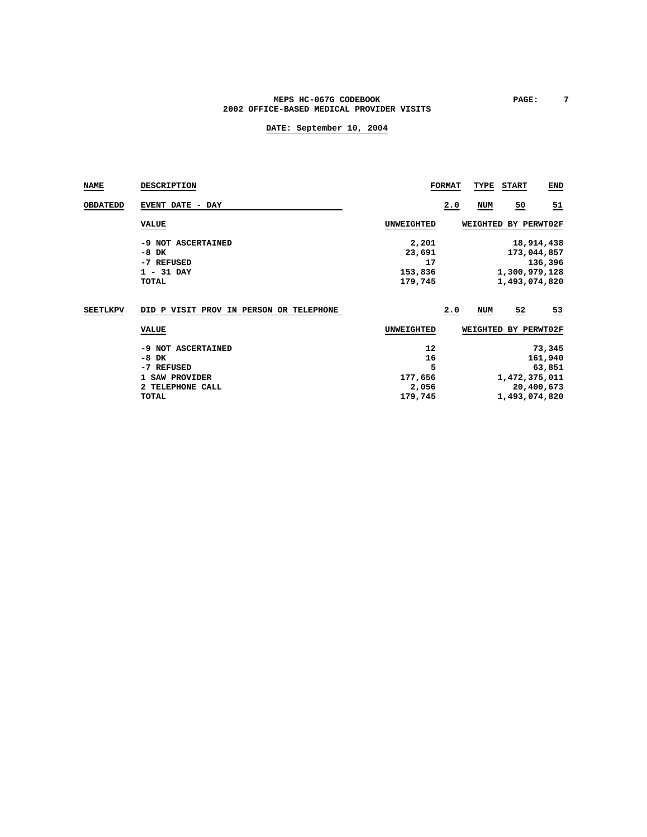#### MEPS HC-067G CODEBOOK **PAGE:** 7 **2002 OFFICE-BASED MEDICAL PROVIDER VISITS**

| <b>NAME</b>     | <b>DESCRIPTION</b>                      |                   | <b>FORMAT</b> | TYPE     | <b>START</b>         | <b>END</b>      |
|-----------------|-----------------------------------------|-------------------|---------------|----------|----------------------|-----------------|
| <b>OBDATEDD</b> | EVENT DATE - DAY                        |                   | 2.0           | NUM      | 50                   | $\overline{51}$ |
|                 | <b>VALUE</b>                            | <b>UNWEIGHTED</b> |               |          | WEIGHTED BY PERWT02F |                 |
|                 | -9 NOT ASCERTAINED                      | 2,201             |               |          |                      | 18,914,438      |
|                 | -8 DK                                   | 23,691            |               |          |                      | 173,044,857     |
|                 | -7 REFUSED                              | 17                |               |          |                      | 136,396         |
|                 | $1 - 31$ DAY                            | 153,836           |               |          | 1,300,979,128        |                 |
|                 | TOTAL                                   | 179,745           | 1,493,074,820 |          |                      |                 |
| <b>SEETLKPV</b> | DID P VISIT PROV IN PERSON OR TELEPHONE |                   | 2.0           | NUM      | 52                   | $\frac{53}{2}$  |
|                 | <b>VALUE</b>                            | <b>UNWEIGHTED</b> |               | WEIGHTED |                      | BY PERWT02F     |
|                 | NOT ASCERTAINED<br>-9                   | 12                |               |          |                      | 73,345          |
|                 | -8<br>DK                                | 16                | 161,940       |          |                      |                 |
|                 | -7 REFUSED                              | 5                 |               |          |                      | 63,851          |
|                 | 1 SAW PROVIDER                          | 177,656           |               |          | 1,472,375,011        |                 |
|                 | 2 TELEPHONE CALL                        | 2,056             |               |          |                      | 20,400,673      |
|                 | <b>TOTAL</b>                            | 179,745           |               |          | 1,493,074,820        |                 |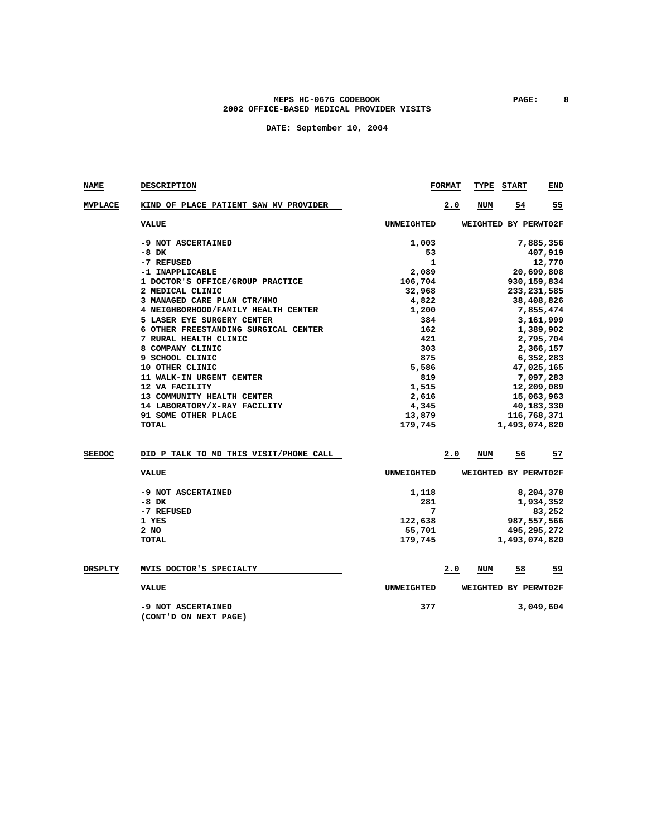### **MEPS HC-067G CODEBOOK PAGE: 8 2002 OFFICE-BASED MEDICAL PROVIDER VISITS**

| NAME           | <b>DESCRIPTION</b>                          |                   | <b>FORMAT</b>         | TYPE | <b>START</b>         | END        |  |
|----------------|---------------------------------------------|-------------------|-----------------------|------|----------------------|------------|--|
| <b>MVPLACE</b> | KIND OF PLACE PATIENT SAW MV PROVIDER       |                   | 2.0                   | NUM  | 54                   | 55         |  |
|                | <b>VALUE</b>                                | UNWEIGHTED        |                       |      | WEIGHTED BY PERWT02F |            |  |
|                | -9 NOT ASCERTAINED                          | 1,003             |                       |      |                      | 7,885,356  |  |
|                | $-8$ DK                                     | 53                |                       |      |                      | 407,919    |  |
|                | -7 REFUSED                                  | 1                 |                       |      |                      | 12,770     |  |
|                | -1 INAPPLICABLE                             | 2,089             |                       |      |                      | 20,699,808 |  |
|                | 1 DOCTOR'S OFFICE/GROUP PRACTICE            | 106,704           |                       |      | 930, 159, 834        |            |  |
|                | 2 MEDICAL CLINIC                            | 32,968            |                       |      | 233, 231, 585        |            |  |
|                | 3 MANAGED CARE PLAN CTR/HMO                 | 4,822             |                       |      |                      | 38,408,826 |  |
|                | 4 NEIGHBORHOOD/FAMILY HEALTH CENTER         | 1,200             |                       |      |                      | 7,855,474  |  |
|                | 5 LASER EYE SURGERY CENTER                  | 384               |                       |      |                      | 3,161,999  |  |
|                | 6 OTHER FREESTANDING SURGICAL CENTER        | 162               |                       |      |                      | 1,389,902  |  |
|                | 7 RURAL HEALTH CLINIC                       | 421               |                       |      |                      | 2,795,704  |  |
|                | 8 COMPANY CLINIC                            | 303               |                       |      |                      | 2,366,157  |  |
|                | 9 SCHOOL CLINIC                             | 875               |                       |      |                      | 6,352,283  |  |
|                | 10 OTHER CLINIC                             | 5,586             |                       |      |                      | 47,025,165 |  |
|                | 11 WALK-IN URGENT CENTER                    | 819               |                       |      |                      | 7,097,283  |  |
|                | 12 VA FACILITY                              | 1,515             |                       |      |                      | 12,209,089 |  |
|                | 13 COMMUNITY HEALTH CENTER                  | 2,616             |                       |      |                      | 15,063,963 |  |
|                | 14 LABORATORY/X-RAY FACILITY                | 4,345             |                       |      |                      | 40,183,330 |  |
|                | 91 SOME OTHER PLACE                         |                   | 13,879<br>116,768,371 |      |                      |            |  |
|                | <b>TOTAL</b>                                | 179,745           |                       |      | 1,493,074,820        |            |  |
| <b>SEEDOC</b>  | DID P TALK TO MD THIS VISIT/PHONE CALL      |                   | 2.0                   | NUM  | 56                   | 57         |  |
|                | <b>VALUE</b>                                | UNWEIGHTED        |                       |      | WEIGHTED BY PERWT02F |            |  |
|                |                                             |                   |                       |      |                      |            |  |
|                | -9 NOT ASCERTAINED                          | 1,118             |                       |      |                      | 8,204,378  |  |
|                | -8 DK                                       | 281               |                       |      |                      | 1,934,352  |  |
|                | -7 REFUSED                                  | 7                 |                       |      |                      | 83,252     |  |
|                | 1 YES                                       | 122,638           |                       |      | 987, 557, 566        |            |  |
|                | 2 NO                                        | 55,701            |                       |      | 495,295,272          |            |  |
|                | <b>TOTAL</b>                                | 179,745           |                       |      | 1,493,074,820        |            |  |
| <b>DRSPLTY</b> | MVIS DOCTOR'S SPECIALTY                     |                   | 2.0                   | NUM  | 58                   | 59         |  |
|                | <b>VALUE</b>                                | <b>UNWEIGHTED</b> |                       |      | WEIGHTED BY PERWT02F |            |  |
|                | -9 NOT ASCERTAINED<br>(CONT'D ON NEXT PAGE) | 377               |                       |      |                      | 3,049,604  |  |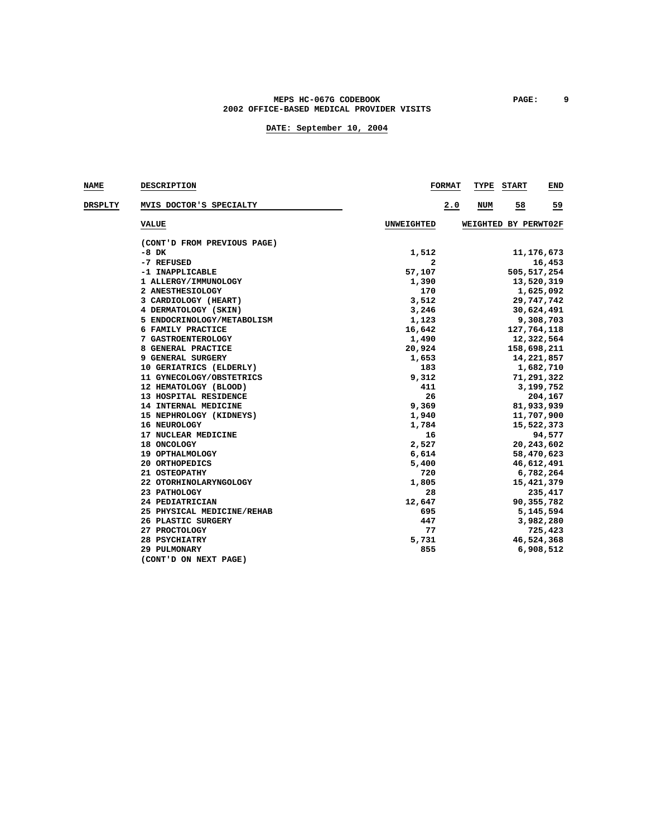### MEPS HC-067G CODEBOOK **PAGE:** 9 **2002 OFFICE-BASED MEDICAL PROVIDER VISITS**

| <b>NAME</b> | DESCRIPTION                 |                   | <b>FORMAT</b> | TYPE | <b>START</b>         | END          |
|-------------|-----------------------------|-------------------|---------------|------|----------------------|--------------|
| DRSPLTY     | MVIS DOCTOR'S SPECIALTY     |                   | 2.0           | NUM  | 58                   | <u>59</u>    |
|             | <b>VALUE</b>                | <b>UNWEIGHTED</b> |               |      | WEIGHTED BY PERWT02F |              |
|             | (CONT'D FROM PREVIOUS PAGE) |                   |               |      |                      |              |
|             | -8 DK                       | 1,512             |               |      |                      | 11, 176, 673 |
|             | -7 REFUSED                  | 2                 |               |      |                      | 16,453       |
|             | -1 INAPPLICABLE             | 57,107            |               |      | 505, 517, 254        |              |
|             | 1 ALLERGY/IMMUNOLOGY        | 1,390             |               |      |                      | 13,520,319   |
|             | 2 ANESTHESIOLOGY            | 170               |               |      |                      | 1,625,092    |
|             | 3 CARDIOLOGY (HEART)        | 3,512             |               |      |                      | 29,747,742   |
|             | 4 DERMATOLOGY (SKIN)        | 3,246             |               |      |                      | 30,624,491   |
|             | 5 ENDOCRINOLOGY/METABOLISM  | 1,123             |               |      |                      | 9,308,703    |
|             | 6 FAMILY PRACTICE           | 16,642            |               |      | 127,764,118          |              |
|             | 7 GASTROENTEROLOGY          | 1,490             |               |      |                      | 12,322,564   |
|             | 8 GENERAL PRACTICE          | 20,924            |               |      | 158,698,211          |              |
|             | 9 GENERAL SURGERY           | 1,653             |               |      |                      | 14,221,857   |
|             | 10 GERIATRICS (ELDERLY)     | 183               |               |      |                      | 1,682,710    |
|             | 11 GYNECOLOGY/OBSTETRICS    | 9,312             |               |      |                      | 71,291,322   |
|             | 12 HEMATOLOGY (BLOOD)       | 411               |               |      |                      | 3,199,752    |
|             | 13 HOSPITAL RESIDENCE       | 26                |               |      |                      | 204,167      |
|             | 14 INTERNAL MEDICINE        | 9,369             |               |      |                      | 81,933,939   |
|             | 15 NEPHROLOGY (KIDNEYS)     | 1,940             |               |      |                      | 11,707,900   |
|             | 16 NEUROLOGY                | 1,784             |               |      |                      | 15,522,373   |
|             | 17 NUCLEAR MEDICINE         | 16                |               |      |                      | 94,577       |
|             | 18 ONCOLOGY                 | 2,527             |               |      |                      | 20,243,602   |
|             | 19 OPTHALMOLOGY             | 6,614             |               |      |                      | 58,470,623   |
|             | 20 ORTHOPEDICS              | 5,400             |               |      |                      | 46,612,491   |
|             | 21 OSTEOPATHY               | 720               |               |      |                      | 6,782,264    |
|             | 22 OTORHINOLARYNGOLOGY      | 1,805             |               |      |                      | 15, 421, 379 |
|             | 23 PATHOLOGY                | 28                |               |      |                      | 235,417      |
|             | 24 PEDIATRICIAN             | 12,647            |               |      |                      | 90, 355, 782 |
|             | 25 PHYSICAL MEDICINE/REHAB  | 695               |               |      |                      | 5,145,594    |
|             | 26 PLASTIC SURGERY          | 447               |               |      |                      | 3,982,280    |
|             | 27 PROCTOLOGY               | 77                |               |      |                      | 725,423      |
|             | 28 PSYCHIATRY               | 5,731             |               |      |                      | 46,524,368   |
|             | 29 PULMONARY                | 855               |               |      |                      | 6,908,512    |
|             | (CONT'D ON NEXT PAGE)       |                   |               |      |                      |              |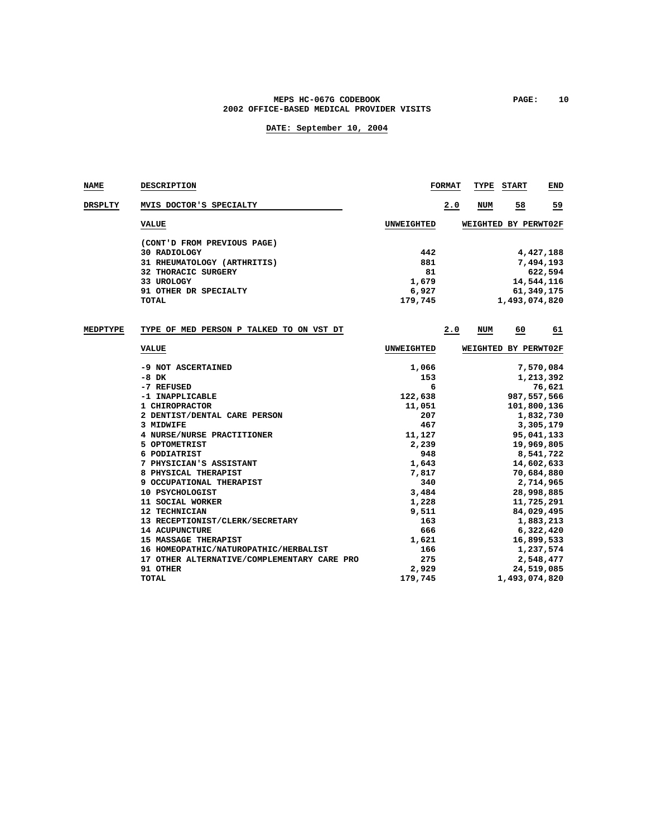### MEPS HC-067G CODEBOOK **PAGE:** 10 **2002 OFFICE-BASED MEDICAL PROVIDER VISITS**

| <b>NAME</b>     | DESCRIPTION                                 |                   | <b>FORMAT</b> | TYPE | <b>START</b>         | END          |
|-----------------|---------------------------------------------|-------------------|---------------|------|----------------------|--------------|
| DRSPLTY         | MVIS DOCTOR'S SPECIALTY                     |                   | 2.0           | NUM  | 58                   | 59           |
|                 | <b>VALUE</b>                                | <b>UNWEIGHTED</b> |               |      | WEIGHTED BY PERWT02F |              |
|                 | (CONT'D FROM PREVIOUS PAGE)                 |                   |               |      |                      |              |
|                 | 30 RADIOLOGY                                | 442               |               |      |                      | 4,427,188    |
|                 | 31 RHEUMATOLOGY (ARTHRITIS)                 | 881               |               |      |                      | 7,494,193    |
|                 | 32 THORACIC SURGERY                         | 81                |               |      |                      | 622,594      |
|                 | 33 UROLOGY                                  | 1,679             |               |      |                      | 14,544,116   |
|                 | 91 OTHER DR SPECIALTY                       | 6,927             |               |      |                      | 61, 349, 175 |
|                 | <b>TOTAL</b>                                | 179,745           |               |      | 1,493,074,820        |              |
| <b>MEDPTYPE</b> | TYPE OF MED PERSON P TALKED TO ON VST DT    |                   | 2.0           | NUM  | 60                   | 61           |
|                 |                                             |                   |               |      |                      |              |
|                 | <b>VALUE</b>                                | <b>UNWEIGHTED</b> |               |      | WEIGHTED BY PERWT02F |              |
|                 | -9 NOT ASCERTAINED                          | 1,066             |               |      |                      | 7,570,084    |
|                 | $-8$ DK                                     | 153               |               |      |                      | 1,213,392    |
|                 | -7 REFUSED                                  | 6                 |               |      |                      | 76,621       |
|                 | -1 INAPPLICABLE                             | 122,638           |               |      | 987, 557, 566        |              |
|                 | 1 CHIROPRACTOR                              | 11,051            |               |      | 101,800,136          |              |
|                 | 2 DENTIST/DENTAL CARE PERSON                | 207               |               |      |                      | 1,832,730    |
|                 | 3 MIDWIFE                                   | 467               |               |      |                      | 3,305,179    |
|                 | 4 NURSE/NURSE PRACTITIONER                  | 11,127            |               |      |                      | 95,041,133   |
|                 | 5 OPTOMETRIST                               | 2,239             |               |      |                      | 19,969,805   |
|                 | 6 PODIATRIST                                | 948               |               |      |                      | 8,541,722    |
|                 | 7 PHYSICIAN'S ASSISTANT                     | 1,643             |               |      |                      | 14,602,633   |
|                 | 8 PHYSICAL THERAPIST                        | 7,817             |               |      |                      | 70,684,880   |
|                 | 9 OCCUPATIONAL THERAPIST                    | 340               |               |      |                      | 2,714,965    |
|                 | 10 PSYCHOLOGIST                             | 3,484             |               |      |                      | 28,998,885   |
|                 | 11 SOCIAL WORKER                            | 1,228             |               |      |                      | 11,725,291   |
|                 | 12 TECHNICIAN                               | 9,511             |               |      |                      | 84,029,495   |
|                 | 13 RECEPTIONIST/CLERK/SECRETARY             | 163               |               |      |                      | 1,883,213    |
|                 | <b>14 ACUPUNCTURE</b>                       | 666               |               |      |                      | 6,322,420    |
|                 | 15 MASSAGE THERAPIST                        | 1,621             |               |      |                      | 16,899,533   |
|                 | 16 HOMEOPATHIC/NATUROPATHIC/HERBALIST       | 166               |               |      |                      | 1,237,574    |
|                 | 17 OTHER ALTERNATIVE/COMPLEMENTARY CARE PRO | 275               |               |      |                      | 2,548,477    |
|                 | 91 OTHER                                    | 2,929             |               |      |                      | 24,519,085   |
|                 | <b>TOTAL</b>                                | 179,745           |               |      | 1,493,074,820        |              |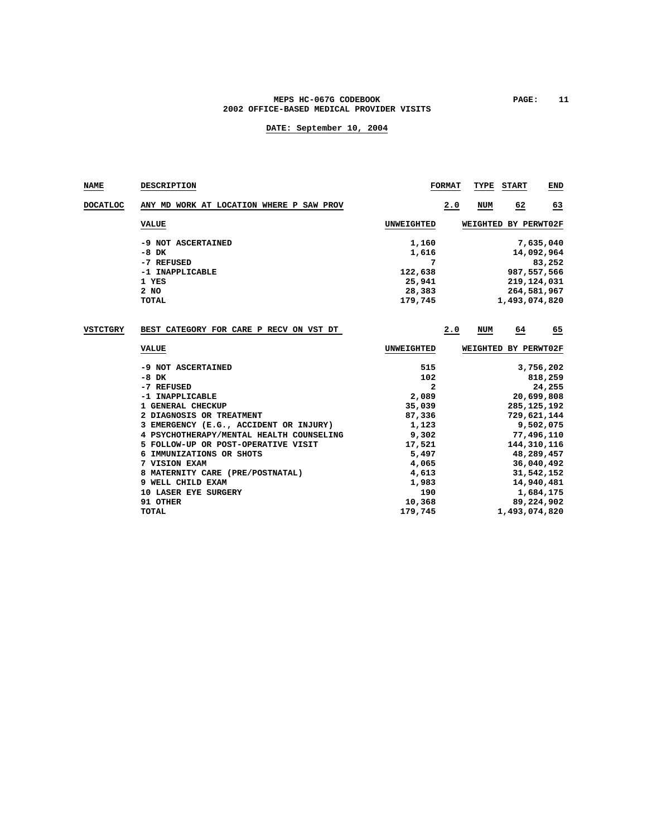#### MEPS HC-067G CODEBOOK PAGE: 11 **2002 OFFICE-BASED MEDICAL PROVIDER VISITS**

### **DATE: September 10, 2004**

**NAME DESCRIPTION FORMAT TYPE START END DOCATLOC ANY MD WORK AT LOCATION WHERE P SAW PROV 2.0 NUM 62 63 VALUE UNWEIGHTED WEIGHTED BY PERWT02F -9 NOT ASCERTAINED** <br>-8 DK <br>**1,616** <br>**1,616** <br>**1,616** <br>**1,616** <br>**1,616** ة 16,092,964<br>14,092,964<br>83,252  **-7 REFUSED 7 83,252 -1 INAPPLICABLE** 122,638<br>1 YES 25,941 **1 YES** 25,941 219,124,031 2 NO 28,383 264,581,967 **2 NO 28,383** 264,581,967 **28,383** 264,581,967 **28,383** 264,581,967 **28,383 TOTAL 179,745 1,493,074,820 VSTCTGRY BEST CATEGORY FOR CARE P RECV ON VST DT 2.0 NUM 64 65**

| <b>VALUE</b>                             | UNWEIGHTED | WEIGHTED BY PERWT02F |
|------------------------------------------|------------|----------------------|
| -9 NOT ASCERTAINED                       | 515        | 3,756,202            |
| -8 DK                                    | 102        | 818,259              |
| -7 REFUSED                               | 2          | 24,255               |
| -1 INAPPLICABLE                          | 2,089      | 20,699,808           |
| 1 GENERAL CHECKUP                        | 35,039     | 285, 125, 192        |
| 2 DIAGNOSIS OR TREATMENT                 | 87,336     | 729,621,144          |
| 3 EMERGENCY (E.G., ACCIDENT OR INJURY)   | 1,123      | 9,502,075            |
| 4 PSYCHOTHERAPY/MENTAL HEALTH COUNSELING | 9,302      | 77,496,110           |
| 5 FOLLOW-UP OR POST-OPERATIVE VISIT      | 17,521     | 144, 310, 116        |
| IMMUNIZATIONS OR SHOTS<br>6.             | 5,497      | 48,289,457           |
| 7 VISION EXAM                            | 4,065      | 36,040,492           |
| 8 MATERNITY CARE (PRE/POSTNATAL)         | 4,613      | 31,542,152           |
| 9 WELL CHILD EXAM                        | 1,983      | 14,940,481           |
| <b>10 LASER EYE SURGERY</b>              | 190        | 1,684,175            |
| 91 OTHER                                 | 10,368     | 89,224,902           |
| TOTAL                                    | 179,745    | 1,493,074,820        |
|                                          |            |                      |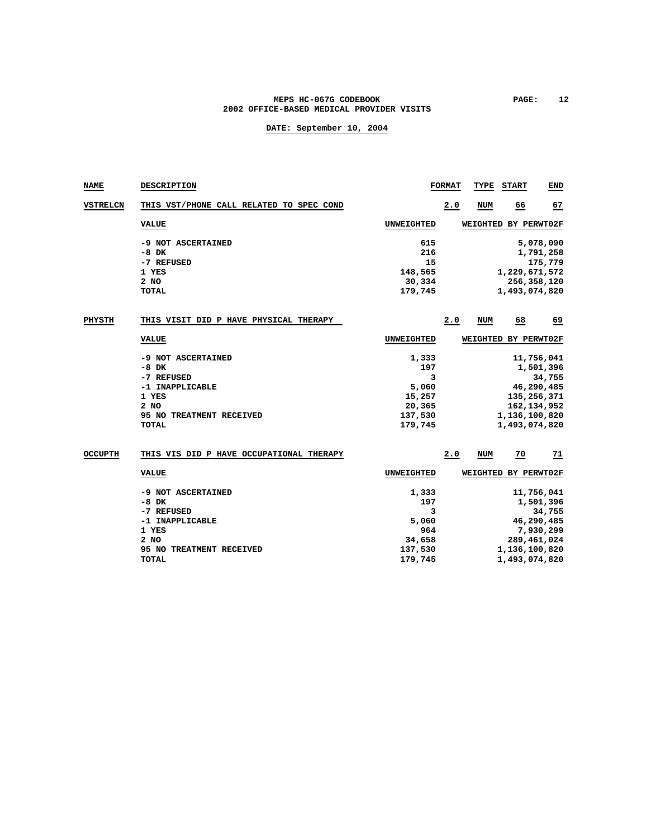### MEPS HC-067G CODEBOOK **PAGE:** 12 **2002 OFFICE-BASED MEDICAL PROVIDER VISITS**

| NAME            | <b>DESCRIPTION</b>                                                                                                   |                                                                      | <b>FORMAT</b> | TYPE       | <b>START</b>                   | END                                                                             |
|-----------------|----------------------------------------------------------------------------------------------------------------------|----------------------------------------------------------------------|---------------|------------|--------------------------------|---------------------------------------------------------------------------------|
| <b>VSTRELCN</b> | THIS VST/PHONE CALL RELATED TO SPEC COND                                                                             |                                                                      | 2.0           | <b>NUM</b> | 66                             | 67                                                                              |
|                 | <b>VALUE</b>                                                                                                         | UNWEIGHTED                                                           |               |            | WEIGHTED BY PERWT02F           |                                                                                 |
|                 | -9 NOT ASCERTAINED<br>$-8$ DK<br>-7 REFUSED<br>1 YES<br>2 NO<br><b>TOTAL</b>                                         | 615<br>216<br>15<br>148,565<br>30,334<br>179,745                     |               |            | 1,229,671,572<br>1,493,074,820 | 5,078,090<br>1,791,258<br>175,779<br>256,358,120                                |
| PHYSTH          | THIS VISIT DID P HAVE PHYSICAL THERAPY                                                                               |                                                                      | 2.0           | <b>NUM</b> | 68                             | 69                                                                              |
|                 | <b>VALUE</b>                                                                                                         | <b>UNWEIGHTED</b>                                                    |               |            | WEIGHTED BY PERWT02F           |                                                                                 |
|                 | -9 NOT ASCERTAINED<br>$-8$ DK<br>-7 REFUSED<br>-1 INAPPLICABLE<br>1 YES<br>2 NO<br>95 NO TREATMENT RECEIVED<br>TOTAL | 1,333<br>197<br>3<br>5,060<br>15,257<br>20,365<br>137,530<br>179,745 |               |            | 1,136,100,820<br>1,493,074,820 | 11,756,041<br>1,501,396<br>34,755<br>46,290,485<br>135,256,371<br>162, 134, 952 |
| <b>OCCUPTH</b>  | THIS VIS DID P HAVE OCCUPATIONAL THERAPY                                                                             |                                                                      | 2.0           | <b>NUM</b> | 70                             | $\frac{71}{2}$                                                                  |
|                 | <b>VALUE</b>                                                                                                         | <b>UNWEIGHTED</b>                                                    |               |            | WEIGHTED BY PERWT02F           |                                                                                 |
|                 | -9 NOT ASCERTAINED<br>$-8$ DK<br>-7 REFUSED<br>-1 INAPPLICABLE<br>1 YES<br>2 NO<br>95 NO TREATMENT RECEIVED<br>TOTAL | 1,333<br>197<br>3<br>5,060<br>964<br>34,658<br>137,530<br>179,745    |               |            | 1,136,100,820<br>1,493,074,820 | 11,756,041<br>1,501,396<br>34,755<br>46,290,485<br>7,930,299<br>289,461,024     |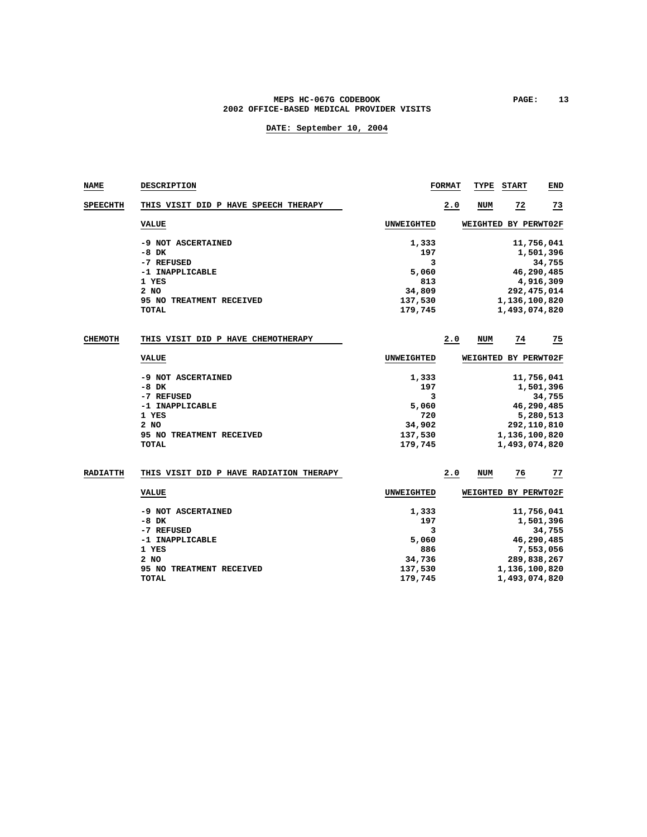### MEPS HC-067G CODEBOOK PAGE: 13 **2002 OFFICE-BASED MEDICAL PROVIDER VISITS**

| <b>NAME</b>     | DESCRIPTION                                                                                                                 |                                                                   | <b>FORMAT</b> | TYPE       | <b>START</b>                   | END                                                                           |
|-----------------|-----------------------------------------------------------------------------------------------------------------------------|-------------------------------------------------------------------|---------------|------------|--------------------------------|-------------------------------------------------------------------------------|
| <b>SPEECHTH</b> | THIS VISIT DID P HAVE SPEECH THERAPY                                                                                        |                                                                   | 2.0           | <b>NUM</b> | $\overline{22}$                | $\overline{23}$                                                               |
|                 | <b>VALUE</b>                                                                                                                | <b>UNWEIGHTED</b>                                                 |               |            | WEIGHTED BY PERWT02F           |                                                                               |
|                 | -9 NOT ASCERTAINED<br>$-8$ DK<br>-7 REFUSED<br>-1 INAPPLICABLE<br>1 YES<br>2 NO<br>95 NO TREATMENT RECEIVED<br><b>TOTAL</b> | 1,333<br>197<br>3<br>5,060<br>813<br>34,809<br>137,530<br>179,745 |               |            | 1,136,100,820<br>1,493,074,820 | 11,756,041<br>1,501,396<br>34,755<br>46,290,485<br>4,916,309<br>292, 475, 014 |
| <b>CHEMOTH</b>  | THIS VISIT DID P HAVE CHEMOTHERAPY                                                                                          |                                                                   | 2.0           | <b>NUM</b> | 74                             | 75                                                                            |
|                 | <b>VALUE</b>                                                                                                                | <b>UNWEIGHTED</b>                                                 |               |            | WEIGHTED BY PERWT02F           |                                                                               |
|                 | -9 NOT ASCERTAINED<br>$-8$ DK<br>-7 REFUSED<br>-1 INAPPLICABLE<br>1 YES<br>2 NO<br>95 NO TREATMENT RECEIVED<br><b>TOTAL</b> | 1,333<br>197<br>3<br>5,060<br>720<br>34,902<br>137,530<br>179,745 |               |            | 1,136,100,820<br>1,493,074,820 | 11,756,041<br>1,501,396<br>34,755<br>46,290,485<br>5,280,513<br>292,110,810   |
| <b>RADIATTH</b> | THIS VISIT DID P HAVE RADIATION THERAPY                                                                                     |                                                                   | 2.0           | <b>NUM</b> | 76                             | 77                                                                            |
|                 | <b>VALUE</b>                                                                                                                | <b>UNWEIGHTED</b>                                                 |               |            | WEIGHTED BY PERWT02F           |                                                                               |
|                 | -9 NOT ASCERTAINED<br>$-8$ DK<br>-7 REFUSED<br>-1 INAPPLICABLE<br>1 YES<br>2 NO<br>95 NO TREATMENT RECEIVED<br><b>TOTAL</b> | 1,333<br>197<br>3<br>5,060<br>886<br>34,736<br>137,530<br>179,745 |               |            | 1,136,100,820<br>1,493,074,820 | 11,756,041<br>1,501,396<br>34,755<br>46,290,485<br>7,553,056<br>289,838,267   |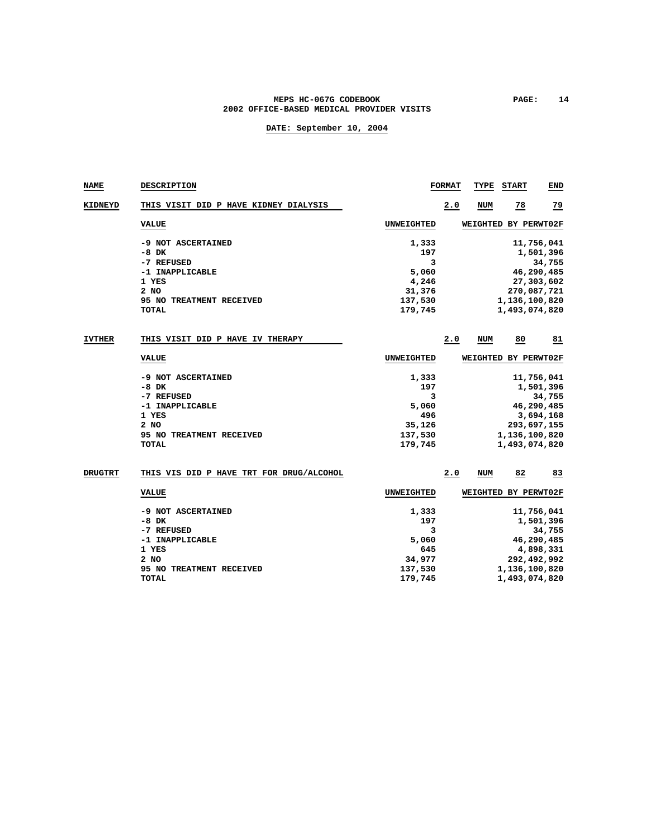### MEPS HC-067G CODEBOOK **PAGE:** 14 **2002 OFFICE-BASED MEDICAL PROVIDER VISITS**

| NAME           | <b>DESCRIPTION</b>                                                                                                            |                                                                     | <b>FORMAT</b> | TYPE       | <b>START</b>                   | END                                                                          |
|----------------|-------------------------------------------------------------------------------------------------------------------------------|---------------------------------------------------------------------|---------------|------------|--------------------------------|------------------------------------------------------------------------------|
| KIDNEYD        | THIS VISIT DID P HAVE KIDNEY DIALYSIS                                                                                         |                                                                     | 2.0           | <b>NUM</b> | $\overline{28}$                | $^{79}$                                                                      |
|                | <b>VALUE</b>                                                                                                                  | <b>UNWEIGHTED</b>                                                   |               |            | WEIGHTED BY PERWT02F           |                                                                              |
|                | -9 NOT ASCERTAINED<br>$-8$ DK<br>-7 REFUSED<br>-1 INAPPLICABLE<br>1 YES<br>2 NO<br>95 NO TREATMENT RECEIVED<br><b>TOTAL</b>   | 1,333<br>197<br>3<br>5,060<br>4,246<br>31,376<br>137,530<br>179,745 |               |            | 1,136,100,820<br>1,493,074,820 | 11,756,041<br>1,501,396<br>34,755<br>46,290,485<br>27,303,602<br>270,087,721 |
| <b>IVTHER</b>  | THIS VISIT DID P HAVE IV THERAPY                                                                                              |                                                                     | 2.0           | <b>NUM</b> | 80                             | 81                                                                           |
|                | <b>VALUE</b>                                                                                                                  | <b>UNWEIGHTED</b>                                                   |               |            | WEIGHTED BY PERWT02F           |                                                                              |
|                | -9 NOT ASCERTAINED<br>$-8$ DK<br>-7 REFUSED<br>-1 INAPPLICABLE<br>1 YES<br>$2$ NO<br>95 NO TREATMENT RECEIVED<br><b>TOTAL</b> | 1,333<br>197<br>3<br>5,060<br>496<br>35,126<br>137,530<br>179,745   |               |            | 1,136,100,820<br>1,493,074,820 | 11,756,041<br>1,501,396<br>34,755<br>46,290,485<br>3,694,168<br>293,697,155  |
| <b>DRUGTRT</b> | THIS VIS DID P HAVE TRT FOR DRUG/ALCOHOL                                                                                      |                                                                     | 2.0           | NUM        | 82                             | 83                                                                           |
|                | <b>VALUE</b>                                                                                                                  | <b>UNWEIGHTED</b>                                                   |               |            | WEIGHTED BY PERWT02F           |                                                                              |
|                | -9 NOT ASCERTAINED<br>$-8$ DK<br>-7 REFUSED<br>-1 INAPPLICABLE<br>1 YES<br>2 NO<br>95 NO TREATMENT RECEIVED<br><b>TOTAL</b>   | 1,333<br>197<br>3<br>5,060<br>645<br>34,977<br>137,530<br>179,745   |               |            | 1,136,100,820<br>1,493,074,820 | 11,756,041<br>1,501,396<br>34,755<br>46,290,485<br>4,898,331<br>292,492,992  |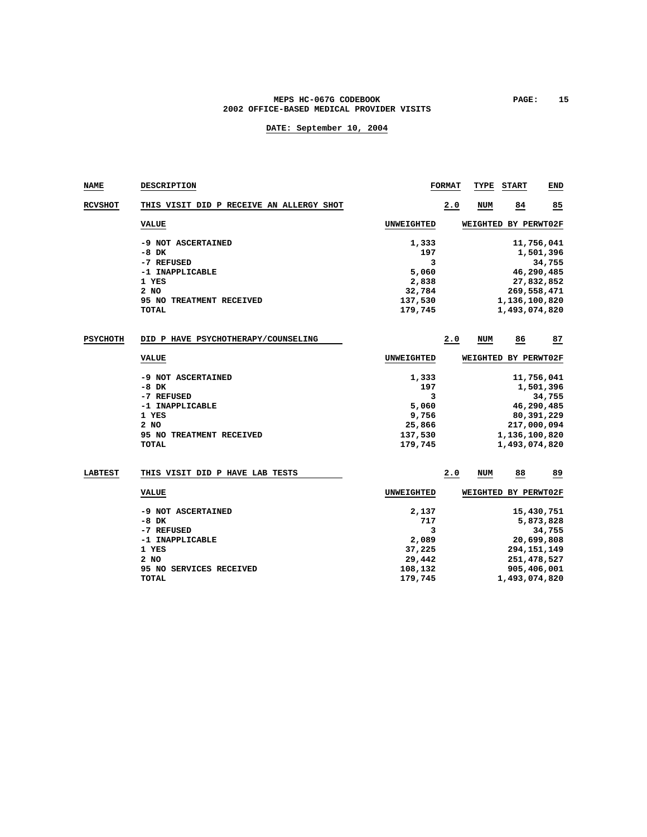### MEPS HC-067G CODEBOOK **PAGE:** 15 **2002 OFFICE-BASED MEDICAL PROVIDER VISITS**

| <b>NAME</b>     | DESCRIPTION                              |                   | <b>FORMAT</b> | TYPE | <b>START</b>         | END          |
|-----------------|------------------------------------------|-------------------|---------------|------|----------------------|--------------|
| <b>RCVSHOT</b>  | THIS VISIT DID P RECEIVE AN ALLERGY SHOT |                   | 2.0           | NUM  | 84                   | 85           |
|                 | <b>VALUE</b>                             | UNWEIGHTED        |               |      | WEIGHTED BY PERWT02F |              |
|                 | -9 NOT ASCERTAINED                       | 1,333             |               |      |                      | 11,756,041   |
|                 | $-8$ DK                                  | 197               |               |      |                      | 1,501,396    |
|                 | -7 REFUSED                               | 3                 |               |      |                      | 34,755       |
|                 | -1 INAPPLICABLE                          | 5,060             |               |      |                      | 46,290,485   |
|                 | 1 YES                                    | 2,838             |               |      |                      | 27,832,852   |
|                 | 2 NO                                     | 32,784            |               |      | 269,558,471          |              |
|                 | 95 NO TREATMENT RECEIVED                 | 137,530           |               |      | 1,136,100,820        |              |
|                 | TOTAL                                    | 179,745           |               |      | 1,493,074,820        |              |
| <b>PSYCHOTH</b> | DID P HAVE PSYCHOTHERAPY/COUNSELING      |                   | 2.0           | NUM  | 86                   | 87           |
|                 | <b>VALUE</b>                             | UNWEIGHTED        |               |      | WEIGHTED BY PERWT02F |              |
|                 | -9 NOT ASCERTAINED                       | 1,333             |               |      |                      | 11,756,041   |
|                 | -8 DK                                    | 197               |               |      |                      | 1,501,396    |
|                 | -7 REFUSED                               | 3                 |               |      |                      | 34,755       |
|                 | -1 INAPPLICABLE                          | 5,060             |               |      |                      | 46,290,485   |
|                 | 1 YES                                    | 9,756             |               |      |                      | 80, 391, 229 |
|                 | 2 NO                                     | 25,866            |               |      | 217,000,094          |              |
|                 | 95 NO TREATMENT RECEIVED                 | 137,530           |               |      | 1,136,100,820        |              |
|                 | <b>TOTAL</b>                             | 179,745           |               |      | 1,493,074,820        |              |
| <b>LABTEST</b>  | THIS VISIT DID P HAVE LAB TESTS          |                   | 2.0           | NUM  | 88                   | 89           |
|                 | <b>VALUE</b>                             | <b>UNWEIGHTED</b> |               |      | WEIGHTED BY PERWT02F |              |
|                 |                                          |                   |               |      |                      |              |
|                 | -9 NOT ASCERTAINED                       | 2,137             |               |      |                      | 15,430,751   |
|                 | $-8$ DK                                  | 717               |               |      |                      | 5,873,828    |
|                 | -7 REFUSED                               | 3                 |               |      |                      | 34,755       |
|                 | -1 INAPPLICABLE                          | 2,089             |               |      |                      | 20,699,808   |
|                 | 1 YES                                    | 37,225            |               |      | 294, 151, 149        |              |
|                 | 2 NO                                     | 29,442            |               |      | 251, 478, 527        |              |
|                 | 95 NO SERVICES RECEIVED                  | 108,132           |               |      | 905,406,001          |              |
|                 | TOTAL                                    | 179,745           |               |      | 1,493,074,820        |              |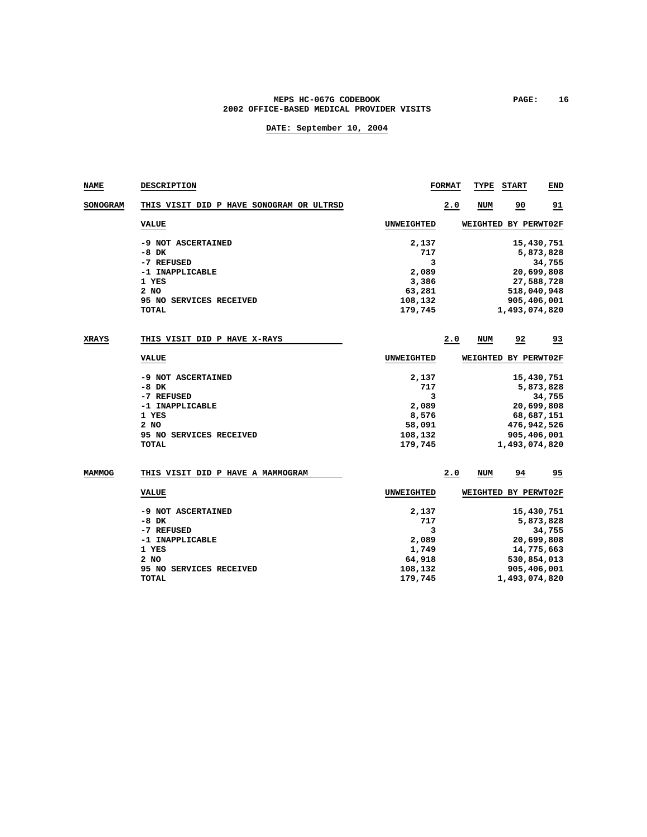### **MEPS HC-067G CODEBOOK PAGE: 16 2002 OFFICE-BASED MEDICAL PROVIDER VISITS**

| <b>NAME</b>  | DESCRIPTION                              |                   | <b>FORMAT</b> | TYPE       | <b>START</b>         | END            |
|--------------|------------------------------------------|-------------------|---------------|------------|----------------------|----------------|
| SONOGRAM     | THIS VISIT DID P HAVE SONOGRAM OR ULTRSD |                   | 2.0           | <b>NUM</b> | 90                   | 91             |
|              | <b>VALUE</b>                             | UNWEIGHTED        |               |            | WEIGHTED BY PERWT02F |                |
|              | -9 NOT ASCERTAINED                       | 2,137             |               |            |                      | 15,430,751     |
|              | -8 DK                                    | 717               |               |            |                      | 5,873,828      |
|              | -7 REFUSED                               | 3                 |               |            |                      | 34,755         |
|              | -1 INAPPLICABLE                          | 2,089             |               |            |                      | 20,699,808     |
|              | 1 YES                                    | 3,386             |               |            |                      | 27,588,728     |
|              | 2 NO                                     | 63,281            |               |            |                      | 518,040,948    |
|              | 95 NO SERVICES RECEIVED                  | 108,132           |               |            |                      | 905,406,001    |
|              | TOTAL                                    | 179,745           |               |            | 1,493,074,820        |                |
| <b>XRAYS</b> | THIS VISIT DID P HAVE X-RAYS             |                   | 2.0           | NUM        | 92                   | 93             |
|              | <b>VALUE</b>                             | UNWEIGHTED        |               |            | WEIGHTED BY PERWT02F |                |
|              |                                          |                   |               |            |                      |                |
|              | -9 NOT ASCERTAINED                       | 2,137             |               |            |                      | 15,430,751     |
|              | -8 DK                                    | 717               |               |            |                      | 5,873,828      |
|              | -7 REFUSED                               | 3                 |               |            |                      | 34,755         |
|              | -1 INAPPLICABLE                          | 2,089             |               |            |                      | 20,699,808     |
|              | 1 YES                                    | 8,576             |               |            |                      | 68,687,151     |
|              | 2 NO                                     | 58,091            |               |            |                      | 476,942,526    |
|              | 95 NO SERVICES RECEIVED                  | 108,132           |               |            | 905,406,001          |                |
|              | <b>TOTAL</b>                             | 179,745           |               |            | 1,493,074,820        |                |
| MAMMOG       | THIS VISIT DID P HAVE A MAMMOGRAM        |                   | 2.0           | NUM        | 94                   | $\frac{95}{1}$ |
|              |                                          |                   |               |            |                      |                |
|              | <b>VALUE</b>                             | <b>UNWEIGHTED</b> |               |            | WEIGHTED BY PERWT02F |                |
|              | -9 NOT ASCERTAINED                       | 2,137             |               |            |                      | 15,430,751     |
|              | $-8$ DK                                  | 717               |               |            |                      | 5,873,828      |
|              | -7 REFUSED                               | 3                 |               |            |                      | 34,755         |
|              | -1 INAPPLICABLE                          | 2,089             |               |            |                      | 20,699,808     |
|              | 1 YES                                    | 1,749             |               |            |                      | 14,775,663     |
|              | 2 NO                                     | 64,918            |               |            |                      | 530,854,013    |
|              | 95 NO SERVICES RECEIVED                  | 108,132           |               |            | 905,406,001          |                |
|              | <b>TOTAL</b>                             | 179,745           |               |            | 1,493,074,820        |                |
|              |                                          |                   |               |            |                      |                |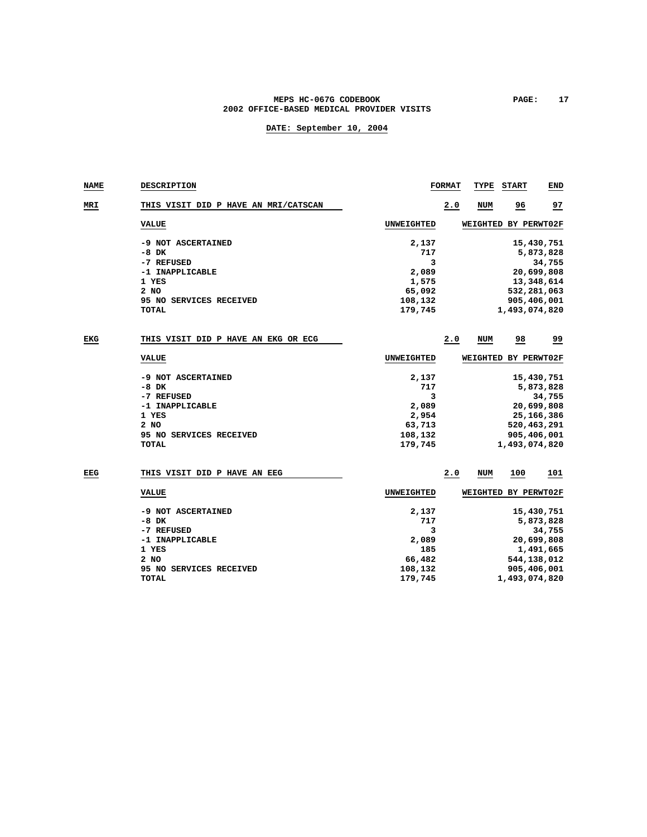### MEPS HC-067G CODEBOOK **PAGE:** 17 **2002 OFFICE-BASED MEDICAL PROVIDER VISITS**

| <b>NAME</b> | <b>DESCRIPTION</b>                   |                   | <b>FORMAT</b> | TYPE                 | <b>START</b>  | <b>END</b>    |
|-------------|--------------------------------------|-------------------|---------------|----------------------|---------------|---------------|
| MRI         | THIS VISIT DID P HAVE AN MRI/CATSCAN |                   | 2.0           | NUM                  | 96            | 97            |
|             | <b>VALUE</b>                         | UNWEIGHTED        |               | WEIGHTED BY PERWT02F |               |               |
|             | -9 NOT ASCERTAINED                   | 2,137             |               |                      |               | 15,430,751    |
|             | $-8$ DK                              | 717               |               |                      |               | 5,873,828     |
|             | -7 REFUSED                           | 3                 |               |                      |               | 34,755        |
|             | -1 INAPPLICABLE                      | 2,089             |               |                      |               | 20,699,808    |
|             | 1 YES                                | 1,575             |               |                      |               | 13,348,614    |
|             | 2 NO                                 | 65,092            |               |                      |               | 532,281,063   |
|             | 95 NO SERVICES RECEIVED              | 108,132           |               |                      |               | 905,406,001   |
|             | <b>TOTAL</b>                         | 179,745           |               |                      | 1,493,074,820 |               |
| EKG         | THIS VISIT DID P HAVE AN EKG OR ECG  |                   | 2.0           | <b>NUM</b>           | 98            | <u>وو</u>     |
|             | <b>VALUE</b>                         | UNWEIGHTED        |               | WEIGHTED BY PERWT02F |               |               |
|             | -9 NOT ASCERTAINED                   | 2,137             |               |                      |               | 15,430,751    |
|             | $-8$ DK                              | 717               |               |                      |               | 5,873,828     |
|             | -7 REFUSED                           | 3                 |               |                      |               | 34,755        |
|             | -1 INAPPLICABLE                      | 2,089             |               |                      |               | 20,699,808    |
|             | 1 YES                                | 2,954             |               |                      |               | 25, 166, 386  |
|             | 2 NO                                 | 63,713            |               |                      |               | 520, 463, 291 |
|             | 95 NO SERVICES RECEIVED              | 108,132           |               |                      |               | 905,406,001   |
|             | <b>TOTAL</b>                         | 179,745           |               |                      | 1,493,074,820 |               |
| EEG         | THIS VISIT DID P HAVE AN EEG         |                   | 2.0           | NUM                  | 100           | 101           |
|             | <b>VALUE</b>                         | <b>UNWEIGHTED</b> |               | WEIGHTED BY PERWT02F |               |               |
|             | -9 NOT ASCERTAINED                   | 2,137             |               |                      |               | 15,430,751    |
|             | $-8$ DK                              | 717               |               |                      |               | 5,873,828     |
|             | -7 REFUSED                           | 3                 |               |                      |               | 34,755        |
|             | -1 INAPPLICABLE                      | 2,089             |               |                      |               | 20,699,808    |
|             | 1 YES                                | 185               |               |                      |               | 1,491,665     |
|             | 2 NO                                 | 66,482            |               |                      |               | 544,138,012   |
|             | 95 NO SERVICES RECEIVED              | 108,132           |               |                      |               | 905,406,001   |
|             | <b>TOTAL</b>                         | 179,745           |               |                      | 1,493,074,820 |               |
|             |                                      |                   |               |                      |               |               |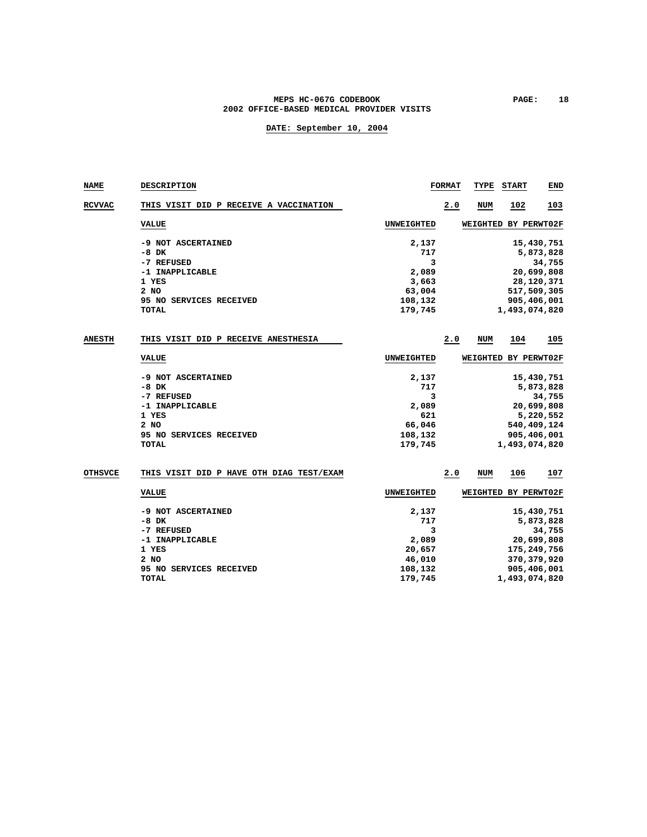### MEPS HC-067G CODEBOOK **PAGE:** 18 **2002 OFFICE-BASED MEDICAL PROVIDER VISITS**

| NAME           | <b>DESCRIPTION</b>                                                                                                         |                                                                      | <b>FORMAT</b> | TYPE                        | <b>START</b>  | END                                                                                            |
|----------------|----------------------------------------------------------------------------------------------------------------------------|----------------------------------------------------------------------|---------------|-----------------------------|---------------|------------------------------------------------------------------------------------------------|
| <b>RCVVAC</b>  | THIS VISIT DID P RECEIVE A VACCINATION                                                                                     |                                                                      | 2.0           | NUM                         | 102           | 103                                                                                            |
|                | <b>VALUE</b>                                                                                                               | UNWEIGHTED                                                           |               | WEIGHTED BY PERWT02F        |               |                                                                                                |
|                | -9 NOT ASCERTAINED<br>$-8$ DK<br>-7 REFUSED<br>-1 INAPPLICABLE<br>1 YES<br>2 NO<br>95 NO SERVICES RECEIVED<br><b>TOTAL</b> | 2,137<br>717<br>3<br>2,089<br>3,663<br>63,004<br>108,132<br>179,745  |               |                             | 1,493,074,820 | 15,430,751<br>5,873,828<br>34,755<br>20,699,808<br>28,120,371<br>517,509,305<br>905,406,001    |
| <b>ANESTH</b>  | THIS VISIT DID P RECEIVE ANESTHESIA                                                                                        |                                                                      | 2.0           | NUM                         | 104           | 105                                                                                            |
|                | <b>VALUE</b>                                                                                                               | UNWEIGHTED                                                           |               | <b>WEIGHTED BY PERWT02F</b> |               |                                                                                                |
|                | -9 NOT ASCERTAINED<br>$-8$ DK<br>-7 REFUSED<br>-1 INAPPLICABLE<br>1 YES<br>2 NO<br>95 NO SERVICES RECEIVED<br>TOTAL        | 2,137<br>717<br>3<br>2,089<br>621<br>66,046<br>108,132<br>179,745    |               |                             | 1,493,074,820 | 15,430,751<br>5,873,828<br>34,755<br>20,699,808<br>5,220,552<br>540,409,124<br>905,406,001     |
| <b>OTHSVCE</b> | THIS VISIT DID P HAVE OTH DIAG TEST/EXAM                                                                                   |                                                                      | 2.0           | NUM                         | 106           | 107                                                                                            |
|                | <b>VALUE</b>                                                                                                               | UNWEIGHTED                                                           |               | WEIGHTED BY PERWT02F        |               |                                                                                                |
|                | -9 NOT ASCERTAINED<br>$-8$ DK<br>-7 REFUSED<br>-1 INAPPLICABLE<br>1 YES<br>2 NO<br>95 NO SERVICES RECEIVED<br><b>TOTAL</b> | 2,137<br>717<br>3<br>2,089<br>20,657<br>46,010<br>108,132<br>179,745 |               |                             | 1,493,074,820 | 15,430,751<br>5,873,828<br>34,755<br>20,699,808<br>175,249,756<br>370, 379, 920<br>905,406,001 |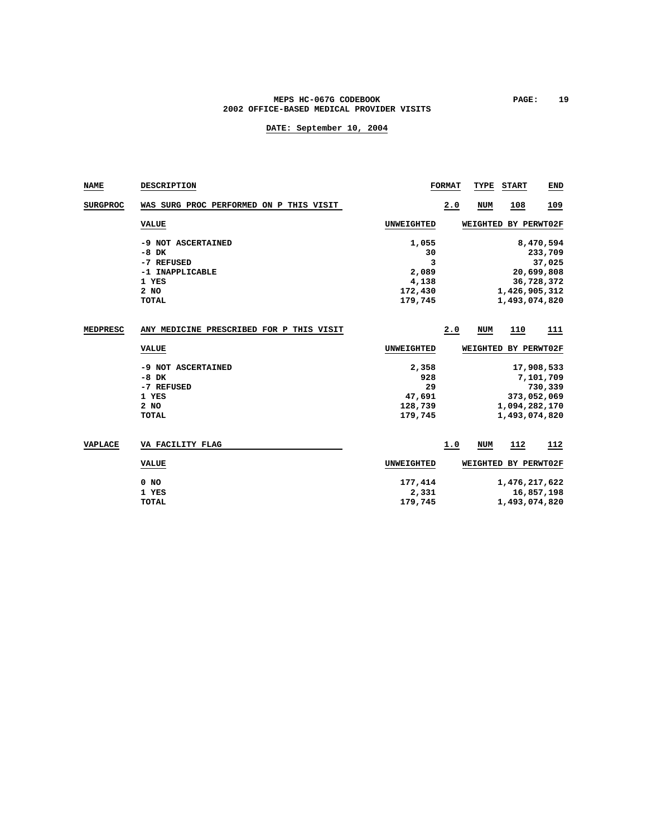### MEPS HC-067G CODEBOOK **PAGE:** 19 **2002 OFFICE-BASED MEDICAL PROVIDER VISITS**

| <b>NAME</b>     | <b>DESCRIPTION</b>                                                                       |                                                          | <b>FORMAT</b> | TYPE       | <b>START</b>                   | <b>END</b>                                                 |
|-----------------|------------------------------------------------------------------------------------------|----------------------------------------------------------|---------------|------------|--------------------------------|------------------------------------------------------------|
| <b>SURGPROC</b> | WAS SURG PROC PERFORMED ON P THIS VISIT                                                  |                                                          | 2.0           | <b>NUM</b> | 108                            | 109                                                        |
|                 | <b>VALUE</b>                                                                             | UNWEIGHTED                                               |               |            | WEIGHTED BY PERWT02F           |                                                            |
|                 | -9 NOT ASCERTAINED<br>$-8$ DK<br>-7 REFUSED<br>-1 INAPPLICABLE<br>1 YES<br>2 NO<br>TOTAL | 1,055<br>30<br>3<br>2,089<br>4,138<br>172,430<br>179,745 |               |            | 1,426,905,312<br>1,493,074,820 | 8,470,594<br>233,709<br>37,025<br>20,699,808<br>36,728,372 |
| MEDPRESC        | ANY MEDICINE PRESCRIBED FOR P THIS VISIT                                                 |                                                          | 2.0           | <b>NUM</b> | 110                            | 111                                                        |
|                 | <b>VALUE</b>                                                                             | UNWEIGHTED                                               |               |            | WEIGHTED BY PERWT02F           |                                                            |
|                 | -9 NOT ASCERTAINED<br>$-8$ DK<br>-7 REFUSED<br>1 YES<br>2 NO<br>TOTAL                    | 2,358<br>928<br>29<br>47,691<br>128,739<br>179,745       |               |            | 1,094,282,170<br>1,493,074,820 | 17,908,533<br>7,101,709<br>730,339<br>373,052,069          |
| VAPLACE         | VA FACILITY FLAG                                                                         |                                                          | 1.0           | NUM        | 112                            | 112                                                        |
|                 | <b>VALUE</b>                                                                             | UNWEIGHTED                                               |               |            | WEIGHTED BY PERWT02F           |                                                            |
|                 | $0$ NO<br>1 YES<br><b>TOTAL</b>                                                          | 177,414<br>2,331<br>179,745                              |               |            | 1,476,217,622<br>1,493,074,820 | 16,857,198                                                 |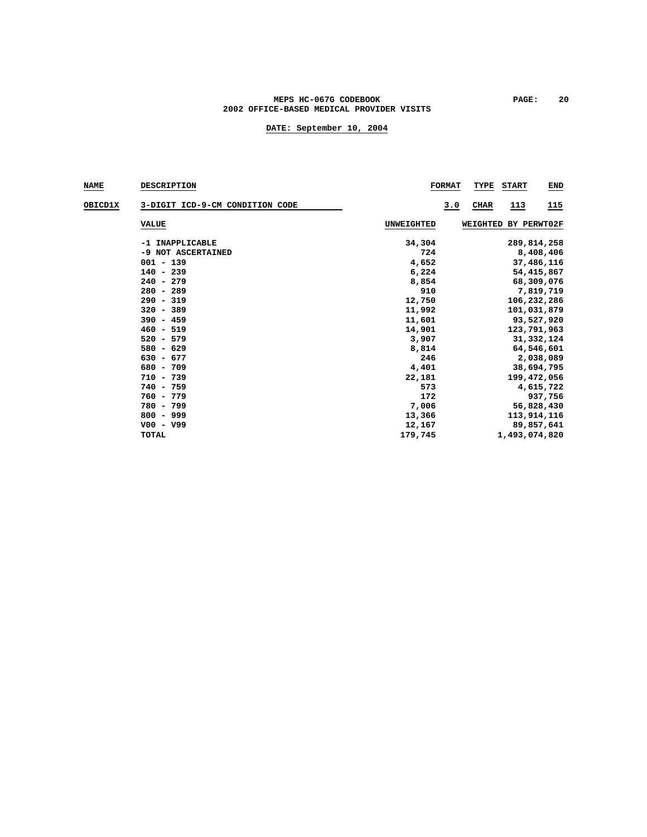### **MEPS HC-067G CODEBOOK PAGE: 20 2002 OFFICE-BASED MEDICAL PROVIDER VISITS**

| <b>NAME</b> | <b>DESCRIPTION</b>              |            | <b>FORMAT</b> | TYPE     | <b>START</b>  | <b>END</b>   |
|-------------|---------------------------------|------------|---------------|----------|---------------|--------------|
| OBICD1X     | 3-DIGIT ICD-9-CM CONDITION CODE |            | 3.0           | CHAR     | <u>113</u>    | 115          |
|             | <b>VALUE</b>                    | UNWEIGHTED |               | WEIGHTED |               | BY PERWT02F  |
|             | -1 INAPPLICABLE                 | 34,304     |               |          |               | 289,814,258  |
|             | -9 NOT ASCERTAINED              | 724        |               |          |               | 8,408,406    |
|             | $001 - 139$                     | 4,652      |               |          |               | 37,486,116   |
|             | $140 - 239$                     | 6,224      |               |          |               | 54, 415, 867 |
|             | $240 - 279$                     | 8,854      |               |          |               | 68,309,076   |
|             | $280 - 289$                     | 910        |               |          |               | 7,819,719    |
|             | $290 - 319$                     | 12,750     |               |          |               | 106,232,286  |
|             | $320 - 389$                     | 11,992     |               |          |               | 101,031,879  |
|             | $390 - 459$                     | 11,601     |               |          |               | 93,527,920   |
|             | $460 - 519$                     | 14,901     |               |          |               | 123,791,963  |
|             | $520 - 579$                     | 3,907      |               |          |               | 31, 332, 124 |
|             | $580 - 629$                     | 8,814      |               |          |               | 64,546,601   |
|             | $630 - 677$                     | 246        |               |          |               | 2,038,089    |
|             | 680 - 709                       | 4,401      |               |          |               | 38,694,795   |
|             | $710 - 739$                     | 22,181     |               |          |               | 199,472,056  |
|             | $740 - 759$                     | 573        |               |          |               | 4,615,722    |
|             | $760 - 779$                     | 172        |               |          |               | 937,756      |
|             | 780 - 799                       | 7,006      |               |          |               | 56,828,430   |
|             | $800 - 999$                     | 13,366     |               |          |               | 113,914,116  |
|             | $V00 - V99$                     | 12,167     |               |          |               | 89,857,641   |
|             | <b>TOTAL</b>                    | 179,745    |               |          | 1,493,074,820 |              |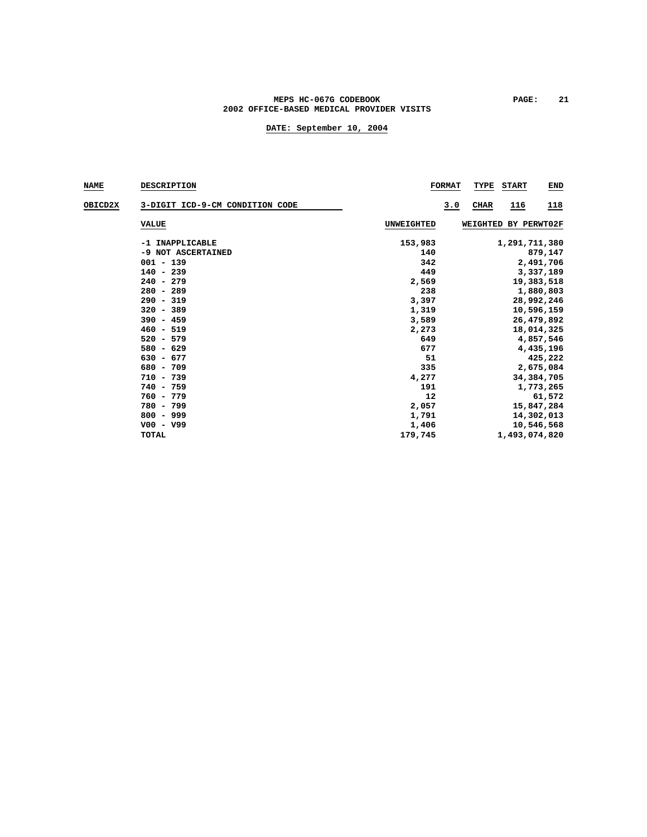### MEPS HC-067G CODEBOOK PAGE: 21 **2002 OFFICE-BASED MEDICAL PROVIDER VISITS**

| <b>NAME</b> | <b>DESCRIPTION</b>                                                                                                                                               | <b>FORMAT</b>                                                                       | TYPE<br><b>START</b><br>END                                                                                                                      |
|-------------|------------------------------------------------------------------------------------------------------------------------------------------------------------------|-------------------------------------------------------------------------------------|--------------------------------------------------------------------------------------------------------------------------------------------------|
| OBICD2X     | 3-DIGIT ICD-9-CM CONDITION CODE                                                                                                                                  | 3.0                                                                                 | <b>CHAR</b><br>116<br><u>118</u>                                                                                                                 |
|             | <b>VALUE</b>                                                                                                                                                     | UNWEIGHTED                                                                          | WEIGHTED BY PERWT02F                                                                                                                             |
|             | -1 INAPPLICABLE<br>-9 NOT ASCERTAINED<br>$001 - 139$<br>$140 - 239$<br>$240 - 279$<br>$280 - 289$<br>$290 - 319$<br>$320 - 389$<br>$390 - 459$<br>$460 - 519$    | 153,983<br>140<br>342<br>449<br>2,569<br>238<br>3,397<br>1,319<br>3,589<br>2,273    | 1,291,711,380<br>879,147<br>2,491,706<br>3,337,189<br>19,383,518<br>1,880,803<br>28,992,246<br>10,596,159<br>26,479,892<br>18,014,325            |
|             | $520 - 579$<br>$580 - 629$<br>$630 - 677$<br>$680 - 709$<br>$710 - 739$<br>$740 - 759$<br>$760 - 779$<br>780 - 799<br>$800 - 999$<br>$V00 - V99$<br><b>TOTAL</b> | 649<br>677<br>51<br>335<br>4,277<br>191<br>12<br>2,057<br>1,791<br>1,406<br>179,745 | 4,857,546<br>4,435,196<br>425,222<br>2,675,084<br>34, 384, 705<br>1,773,265<br>61,572<br>15,847,284<br>14,302,013<br>10,546,568<br>1,493,074,820 |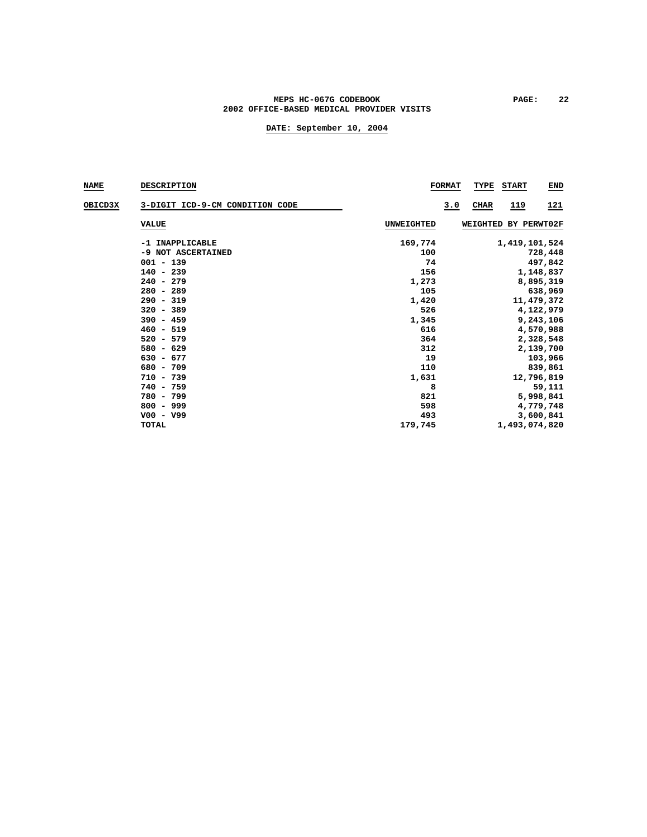### **MEPS HC-067G CODEBOOK PAGE: 22 2002 OFFICE-BASED MEDICAL PROVIDER VISITS**

| <b>NAME</b> | <b>DESCRIPTION</b>              |                   | <b>FORMAT</b> | TYPE        | <b>START</b>         | <b>END</b>  |
|-------------|---------------------------------|-------------------|---------------|-------------|----------------------|-------------|
| OBICD3X     | 3-DIGIT ICD-9-CM CONDITION CODE |                   | 3.0           | <b>CHAR</b> | 119                  | <u> 121</u> |
|             | <b>VALUE</b>                    | <b>UNWEIGHTED</b> |               |             | WEIGHTED BY PERWT02F |             |
|             | -1 INAPPLICABLE                 | 169,774           |               |             | 1,419,101,524        |             |
|             | -9 NOT ASCERTAINED              | 100               |               |             |                      | 728,448     |
|             | $001 - 139$                     | 74                |               |             |                      | 497,842     |
|             | $140 - 239$                     | 156               |               |             |                      | 1,148,837   |
|             | $240 - 279$                     | 1,273             |               |             |                      | 8,895,319   |
|             | $280 - 289$                     | 105               |               |             |                      | 638,969     |
|             | $290 - 319$                     | 1,420             |               |             |                      | 11,479,372  |
|             | $320 - 389$                     | 526               |               |             |                      | 4,122,979   |
|             | $390 - 459$                     | 1,345             |               |             |                      | 9,243,106   |
|             | $460 - 519$                     | 616               |               |             |                      | 4,570,988   |
|             | $520 - 579$                     | 364               |               |             |                      | 2,328,548   |
|             | $580 - 629$                     | 312               |               |             |                      | 2,139,700   |
|             | $630 - 677$                     | 19                |               |             |                      | 103,966     |
|             | $680 - 709$                     | 110               |               |             |                      | 839,861     |
|             | $710 - 739$                     | 1,631             |               |             |                      | 12,796,819  |
|             | $740 - 759$                     | 8                 |               |             |                      | 59,111      |
|             | 780 - 799                       | 821               |               |             |                      | 5,998,841   |
|             | $800 - 999$                     | 598               |               |             |                      | 4,779,748   |
|             | $V00 - V99$                     | 493               |               |             |                      | 3,600,841   |
|             | TOTAL                           | 179,745           |               |             | 1,493,074,820        |             |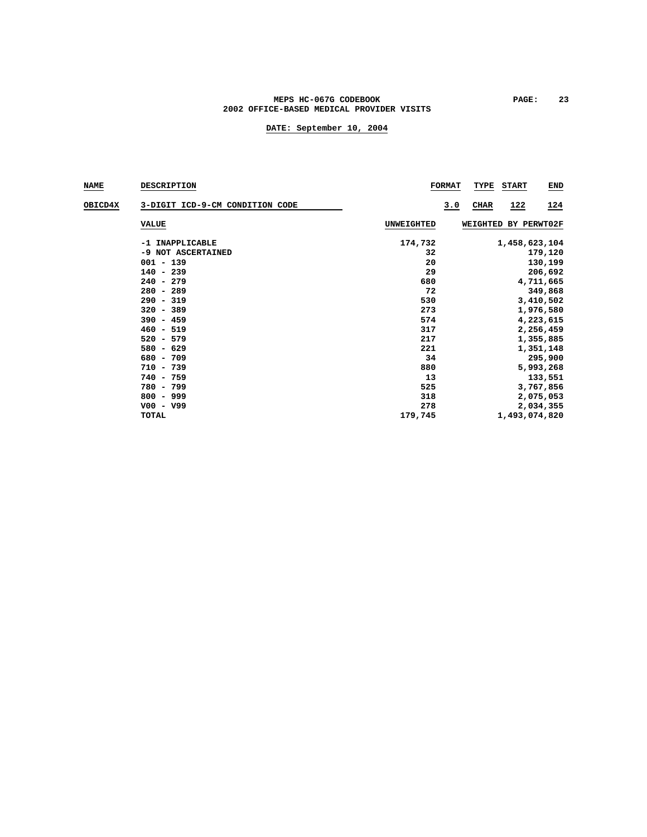### MEPS HC-067G CODEBOOK **PAGE:** 23 **2002 OFFICE-BASED MEDICAL PROVIDER VISITS**

| <b>NAME</b> | <b>DESCRIPTION</b>              | <b>FORMAT</b>     | TYPE<br><b>START</b><br><b>END</b>      |
|-------------|---------------------------------|-------------------|-----------------------------------------|
| OBICD4X     | 3-DIGIT ICD-9-CM CONDITION CODE |                   | 122<br><u>124</u><br>3.0<br><b>CHAR</b> |
|             | <b>VALUE</b>                    | <b>UNWEIGHTED</b> | WEIGHTED BY PERWT02F                    |
|             | -1 INAPPLICABLE                 | 174,732           | 1,458,623,104                           |
|             | -9 NOT ASCERTAINED              | 32                | 179,120                                 |
|             | $001 - 139$                     | 20                | 130,199                                 |
|             | $140 - 239$                     | 29                | 206,692                                 |
|             | $240 - 279$                     | 680               | 4,711,665                               |
|             | $280 - 289$                     | 72                | 349,868                                 |
|             | $290 - 319$                     | 530               | 3,410,502                               |
|             | $320 - 389$                     | 273               | 1,976,580                               |
|             | $390 - 459$                     | 574               | 4,223,615                               |
|             | $460 - 519$                     | 317               | 2,256,459                               |
|             | $520 - 579$                     | 217               | 1,355,885                               |
|             | $580 - 629$                     | 221               | 1,351,148                               |
|             | 680 - 709                       | 34                | 295,900                                 |
|             | $710 - 739$                     | 880               | 5,993,268                               |
|             | $740 - 759$                     | 13                | 133,551                                 |
|             | 780 - 799                       | 525               | 3,767,856                               |
|             | $800 - 999$                     | 318               | 2,075,053                               |
|             | $V00 - V99$                     | 278               | 2,034,355                               |
|             | <b>TOTAL</b>                    | 179,745           | 1,493,074,820                           |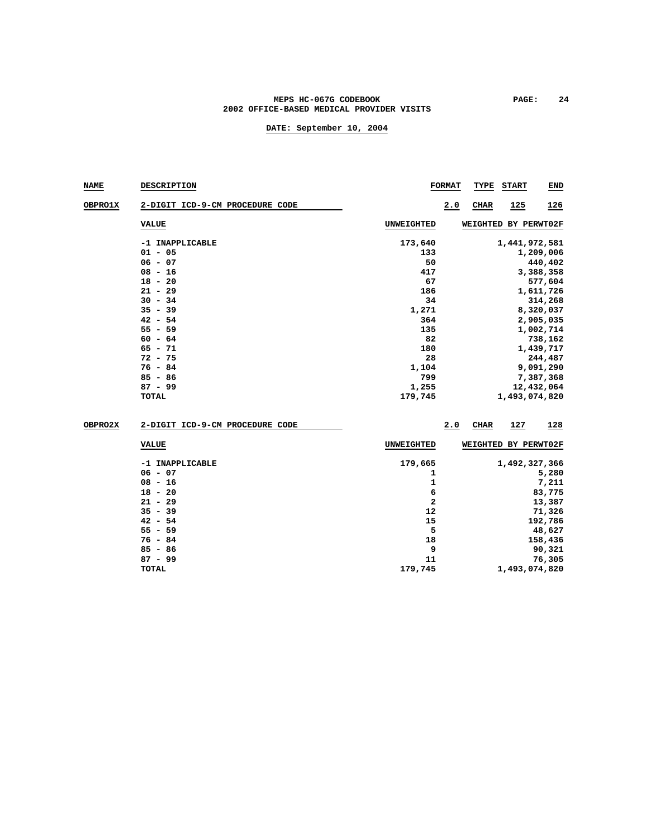### MEPS HC-067G CODEBOOK **PAGE:** 24 **2002 OFFICE-BASED MEDICAL PROVIDER VISITS**

| <b>NAME</b> | <b>DESCRIPTION</b>              |                | <b>FORMAT</b> | TYPE                 | <b>START</b>  | <b>END</b> |
|-------------|---------------------------------|----------------|---------------|----------------------|---------------|------------|
| OBPRO1X     | 2-DIGIT ICD-9-CM PROCEDURE CODE |                | 2.0           | <b>CHAR</b>          | 125           | 126        |
|             | <b>VALUE</b>                    | UNWEIGHTED     |               | WEIGHTED BY PERWT02F |               |            |
|             | -1 INAPPLICABLE<br>$01 - 05$    | 173,640<br>133 |               |                      | 1,441,972,581 | 1,209,006  |
|             | $06 - 07$                       | 50             |               |                      |               | 440,402    |
|             | $08 - 16$                       | 417            |               |                      |               | 3,388,358  |
|             | $18 - 20$                       | 67             |               |                      |               | 577,604    |
|             | $21 - 29$                       | 186            |               |                      |               | 1,611,726  |
|             | $30 - 34$                       | 34             |               |                      |               | 314,268    |
|             | $35 - 39$                       | 1,271          |               |                      |               | 8,320,037  |
|             | $42 - 54$                       | 364            |               |                      |               | 2,905,035  |
|             | $55 - 59$                       | 135            |               |                      |               | 1,002,714  |
|             | $60 - 64$                       | 82             |               |                      |               | 738,162    |
|             | $65 - 71$                       | 180            |               |                      |               | 1,439,717  |
|             | $72 - 75$                       | 28             |               |                      |               | 244,487    |
|             | $76 - 84$                       | 1,104          |               |                      |               | 9,091,290  |
|             | $85 - 86$                       | 799            |               |                      |               | 7,387,368  |
|             | $87 - 99$                       | 1,255          |               |                      |               | 12,432,064 |
|             | <b>TOTAL</b>                    | 179,745        |               |                      | 1,493,074,820 |            |
| OBPRO2X     | 2-DIGIT ICD-9-CM PROCEDURE CODE |                | 2.0           | <b>CHAR</b>          | 127           | 128        |

| VALUE           | <b>UNWEIGHTED</b> | WEIGHTED BY PERWT02F |
|-----------------|-------------------|----------------------|
| -1 INAPPLICABLE | 179,665           | 1,492,327,366        |
| $06 - 07$       |                   | 5,280                |
| $08 - 16$       |                   | 7,211                |
| $18 - 20$       | 6                 | 83,775               |
| $21 - 29$       | 2                 | 13,387               |
| $35 - 39$       | 12                | 71,326               |
| $42 - 54$       | 15                | 192,786              |
| $55 - 59$       | 5                 | 48,627               |
| $76 - 84$       | 18                | 158,436              |
| $85 - 86$       | 9                 | 90,321               |
| $87 - 99$       | 11                | 76,305               |
| TOTAL           | 179,745           | 1,493,074,820        |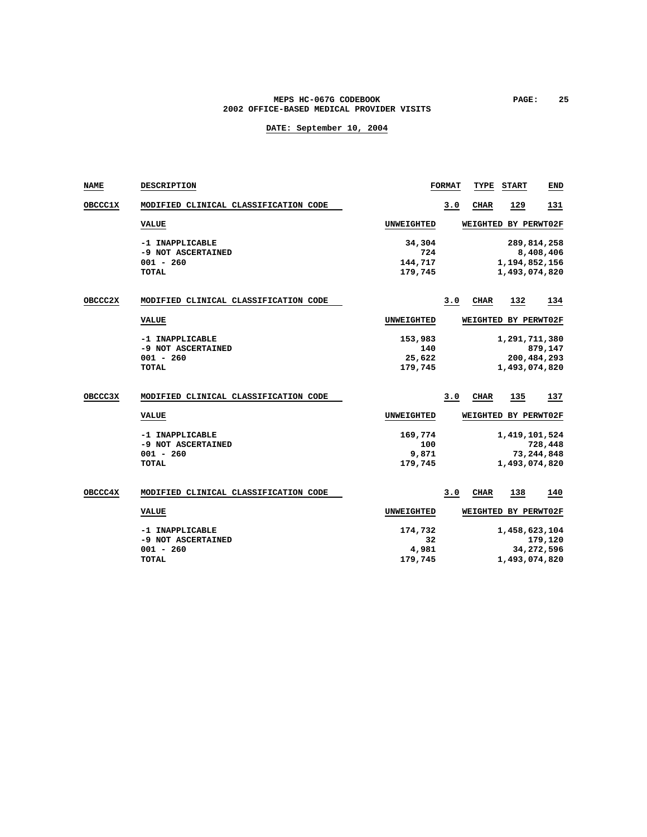### MEPS HC-067G CODEBOOK **PAGE:** 25 **2002 OFFICE-BASED MEDICAL PROVIDER VISITS**

| NAME           | DESCRIPTION                                                          |                                     | <b>FORMAT</b> | TYPE        | <b>START</b>                                  | <b>END</b>              |
|----------------|----------------------------------------------------------------------|-------------------------------------|---------------|-------------|-----------------------------------------------|-------------------------|
| <b>OBCCC1X</b> | MODIFIED CLINICAL CLASSIFICATION CODE                                |                                     | 3.0           | <b>CHAR</b> | 129                                           | 131                     |
|                | <b>VALUE</b>                                                         | <b>UNWEIGHTED</b>                   |               |             | WEIGHTED BY PERWT02F                          |                         |
|                | -1 INAPPLICABLE<br>-9 NOT ASCERTAINED<br>$001 - 260$<br><b>TOTAL</b> | 34,304<br>724<br>144,717<br>179,745 |               |             | 289,814,258<br>1,194,852,156<br>1,493,074,820 | 8,408,406               |
| OBCCC2X        | MODIFIED CLINICAL CLASSIFICATION CODE                                |                                     | 3.0           | <b>CHAR</b> | <u>132</u>                                    | 134                     |
|                | <b>VALUE</b>                                                         | <b>UNWEIGHTED</b>                   |               |             | WEIGHTED BY PERWT02F                          |                         |
|                | -1 INAPPLICABLE<br>-9 NOT ASCERTAINED<br>$001 - 260$<br><b>TOTAL</b> | 153,983<br>140<br>25,622<br>179,745 |               |             | 1,291,711,380<br>200,484,293<br>1,493,074,820 | 879,147                 |
| OBCCC3X        | MODIFIED CLINICAL CLASSIFICATION CODE                                |                                     | 3.0           | CIIAR       | 135                                           | 137                     |
|                | <b>VALUE</b>                                                         | <b>UNWEIGHTED</b>                   |               |             | WEIGHTED BY PERWT02F                          |                         |
|                | -1 INAPPLICABLE<br>-9 NOT ASCERTAINED<br>$001 - 260$<br>TOTAL        | 169,774<br>100<br>9,871<br>179,745  |               |             | 1,419,101,524<br>1,493,074,820                | 728,448<br>73, 244, 848 |
| OBCCC4X        | MODIFIED CLINICAL CLASSIFICATION CODE                                |                                     | 3.0           | <b>CHAR</b> | 138                                           | 140                     |
|                | <b>VALUE</b>                                                         | <b>UNWEIGHTED</b>                   |               |             | WEIGHTED BY PERWT02F                          |                         |
|                | -1 INAPPLICABLE<br>-9 NOT ASCERTAINED<br>$001 - 260$<br><b>TOTAL</b> | 174,732<br>32<br>4,981<br>179,745   |               |             | 1,458,623,104<br>1,493,074,820                | 179,120<br>34,272,596   |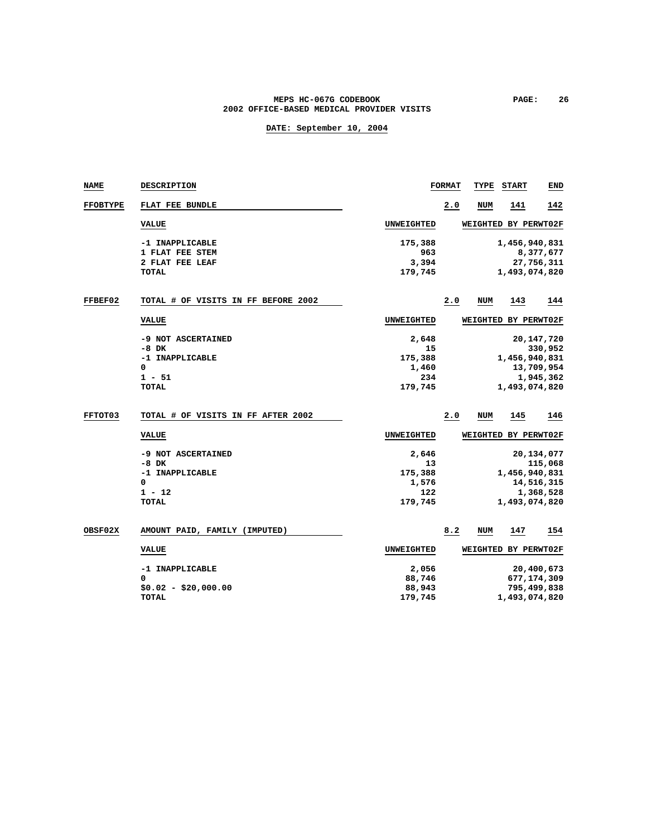#### **MEPS HC-067G CODEBOOK PAGE: 26 2002 OFFICE-BASED MEDICAL PROVIDER VISITS**

| <b>NAME</b>     | <b>DESCRIPTION</b>                  |                   | <b>FORMAT</b> | TYPE            | <b>START</b>         | END          |
|-----------------|-------------------------------------|-------------------|---------------|-----------------|----------------------|--------------|
| <b>FFOBTYPE</b> | FLAT FEE BUNDLE                     |                   | 2.0           | NUM             | 141                  | 142          |
|                 | <b>VALUE</b>                        | UNWEIGHTED        |               |                 | WEIGHTED BY PERWT02F |              |
|                 | -1 INAPPLICABLE                     | 175,388           |               |                 | 1,456,940,831        |              |
|                 | 1 FLAT FEE STEM                     | 963               |               |                 |                      | 8,377,677    |
|                 | 2 FLAT FEE LEAF                     | 3,394             |               |                 |                      | 27,756,311   |
|                 | TOTAL                               | 179,745           |               |                 | 1,493,074,820        |              |
| <b>FFBEF02</b>  | TOTAL # OF VISITS IN FF BEFORE 2002 |                   | 2.0           | NUM             | 143                  | 144          |
|                 | <b>VALUE</b>                        | UNWEIGHTED        |               |                 | WEIGHTED BY PERWT02F |              |
|                 | -9 NOT ASCERTAINED                  | 2,648             |               |                 |                      | 20, 147, 720 |
|                 | -8 DK                               | 15                |               |                 |                      | 330,952      |
|                 | -1 INAPPLICABLE                     | 175,388           |               |                 | 1,456,940,831        |              |
|                 | 0                                   | 1,460             |               |                 |                      | 13,709,954   |
|                 | $1 - 51$                            | 234               |               |                 |                      | 1,945,362    |
|                 | <b>TOTAL</b>                        | 179,745           |               |                 | 1,493,074,820        |              |
| <b>FFTOT03</b>  | TOTAL # OF VISITS IN FF AFTER 2002  |                   | 2.0           | NUM             | 145                  | 146          |
|                 | <b>VALUE</b>                        | <b>UNWEIGHTED</b> |               | <b>WEIGHTED</b> | BY PERWT02F          |              |
|                 | -9 NOT ASCERTAINED                  | 2,646             |               |                 |                      | 20,134,077   |
|                 | -8 DK                               | 13                |               |                 |                      | 115,068      |
|                 | -1 INAPPLICABLE                     | 175,388           |               |                 | 1,456,940,831        |              |
|                 | 0                                   | 1,576             |               |                 |                      | 14,516,315   |
|                 | $1 - 12$                            | 122               |               |                 |                      | 1,368,528    |
|                 | <b>TOTAL</b>                        | 179,745           |               |                 | 1,493,074,820        |              |
| OBSF02X         | AMOUNT PAID, FAMILY (IMPUTED)       |                   | 8.2           | NUM             | 147                  | <u>154</u>   |
|                 | <b>VALUE</b>                        | UNWEIGHTED        |               |                 | WEIGHTED BY PERWT02F |              |
|                 | -1 INAPPLICABLE                     | 2,056             |               |                 |                      | 20,400,673   |
|                 | 0                                   | 88,746            |               |                 | 677,174,309          |              |
|                 | $$0.02 - $20,000.00$                | 88,943            |               |                 |                      | 795,499,838  |
|                 | TOTAL                               | 179,745           |               |                 | 1,493,074,820        |              |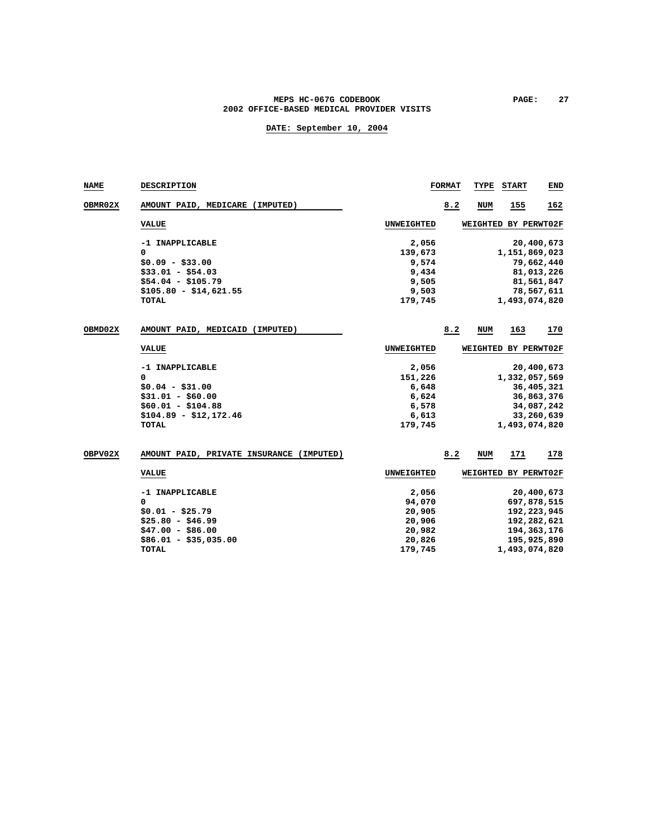### MEPS HC-067G CODEBOOK **PAGE:** 27 **2002 OFFICE-BASED MEDICAL PROVIDER VISITS**

| <b>NAME</b>    | DESCRIPTION                              |                   | <b>FORMAT</b> | TYPE       | <b>START</b>         | END        |
|----------------|------------------------------------------|-------------------|---------------|------------|----------------------|------------|
| <b>OBMR02X</b> | AMOUNT PAID, MEDICARE (IMPUTED)          |                   | 8.2           | <b>NUM</b> | 155                  | 162        |
|                | <b>VALUE</b>                             | UNWEIGHTED        |               |            | WEIGHTED BY PERWT02F |            |
|                | -1 INAPPLICABLE                          | 2,056             |               |            |                      | 20,400,673 |
|                | 0                                        | 139,673           |               |            | 1,151,869,023        |            |
|                | $$0.09 - $33.00$                         | 9,574             |               |            |                      | 79,662,440 |
|                | $$33.01 - $54.03$                        | 9,434             |               |            |                      | 81,013,226 |
|                | $$54.04 - $105.79$                       | 9,505             |               |            |                      | 81,561,847 |
|                | $$105.80 - $14,621.55$                   | 9,503             |               |            |                      | 78,567,611 |
|                | <b>TOTAL</b>                             | 179,745           |               |            | 1,493,074,820        |            |
| OBMD02X        | AMOUNT PAID, MEDICAID (IMPUTED)          |                   | 8.2           | NUM        | 163                  | 170        |
|                | <b>VALUE</b>                             | UNWEIGHTED        |               |            | WEIGHTED BY PERWT02F |            |
|                |                                          |                   |               |            |                      |            |
|                | -1 INAPPLICABLE                          | 2,056             |               |            |                      | 20,400,673 |
|                | $\Omega$                                 | 151,226           |               |            | 1,332,057,569        |            |
|                | $$0.04 - $31.00$                         | 6,648             |               |            |                      | 36,405,321 |
|                | $$31.01 - $60.00$                        | 6,624             |               |            |                      | 36,863,376 |
|                | $$60.01 - $104.88$                       | 6,578             |               |            |                      | 34,087,242 |
|                | $$104.89 - $12,172.46$                   | 6,613             |               |            |                      | 33,260,639 |
|                | TOTAL                                    | 179,745           |               |            | 1,493,074,820        |            |
| OBPV02X        | AMOUNT PAID, PRIVATE INSURANCE (IMPUTED) |                   | 8.2           | NUM        | 171                  | 178        |
|                |                                          |                   |               |            |                      |            |
|                | <b>VALUE</b>                             | <b>UNWEIGHTED</b> |               |            | WEIGHTED BY PERWT02F |            |
|                | -1 INAPPLICABLE                          | 2,056             |               |            |                      | 20,400,673 |
|                | 0                                        | 94,070            |               |            | 697,878,515          |            |
|                | $$0.01 - $25.79$                         | 20,905            |               |            | 192,223,945          |            |
|                | $$25.80 - $46.99$                        | 20,906            |               |            | 192,282,621          |            |
|                | $$47.00 - $86.00$                        | 20,982            |               |            | 194, 363, 176        |            |
|                | $$86.01 - $35,035.00$                    | 20,826            |               |            | 195,925,890          |            |
|                | <b>TOTAL</b>                             | 179,745           |               |            | 1,493,074,820        |            |
|                |                                          |                   |               |            |                      |            |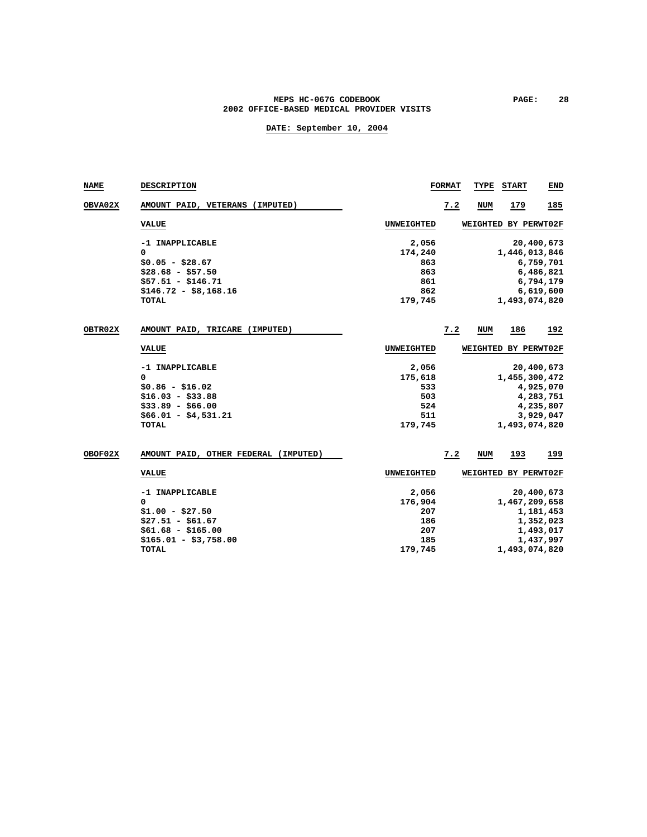### MEPS HC-067G CODEBOOK **PAGE:** 28 **2002 OFFICE-BASED MEDICAL PROVIDER VISITS**

| <b>NAME</b>    | DESCRIPTION                          |                   | <b>FORMAT</b> | TYPE       | START                | END        |
|----------------|--------------------------------------|-------------------|---------------|------------|----------------------|------------|
| <b>OBVA02X</b> | AMOUNT PAID, VETERANS (IMPUTED)      |                   | 7.2           | <b>NUM</b> | 179                  | 185        |
|                | <b>VALUE</b>                         | <b>UNWEIGHTED</b> |               |            | WEIGHTED BY PERWT02F |            |
|                | -1 INAPPLICABLE                      | 2,056             |               |            |                      | 20,400,673 |
|                | 0                                    | 174,240           |               |            | 1,446,013,846        |            |
|                | $$0.05 - $28.67$                     | 863               |               |            |                      | 6,759,701  |
|                | $$28.68 - $57.50$                    | 863               |               |            |                      | 6,486,821  |
|                | $$57.51 - $146.71$                   | 861               |               |            |                      | 6,794,179  |
|                | $$146.72 - $8,168.16$                | 862               |               |            |                      | 6,619,600  |
|                | TOTAL                                | 179,745           |               |            | 1,493,074,820        |            |
| <b>OBTR02X</b> | AMOUNT PAID, TRICARE (IMPUTED)       |                   | 7.2           | NUM        | 186                  | 192        |
|                | <b>VALUE</b>                         | UNWEIGHTED        |               |            | WEIGHTED BY PERWT02F |            |
|                | -1 INAPPLICABLE                      | 2,056             |               |            |                      | 20,400,673 |
|                | $\Omega$                             | 175,618           |               |            | 1,455,300,472        |            |
|                | $$0.86 - $16.02$                     | 533               |               |            |                      | 4,925,070  |
|                | $$16.03 - $33.88$                    | 503               |               |            |                      | 4,283,751  |
|                | $$33.89 - $66.00$                    | 524               |               |            |                      | 4,235,807  |
|                | $$66.01 - $4,531.21$                 | 511               |               |            |                      | 3,929,047  |
|                | <b>TOTAL</b>                         | 179,745           |               |            | 1,493,074,820        |            |
| <b>OBOF02X</b> | AMOUNT PAID, OTHER FEDERAL (IMPUTED) |                   | 7.2           | NUM        | 193                  | 199        |
|                | <b>VALUE</b>                         | <b>UNWEIGHTED</b> |               |            | WEIGHTED BY PERWT02F |            |
|                | -1 INAPPLICABLE                      | 2,056             |               |            |                      | 20,400,673 |
|                | $\Omega$                             | 176,904           |               |            | 1,467,209,658        |            |
|                | $$1.00 - $27.50$                     | 207               |               |            |                      | 1,181,453  |
|                | $$27.51 - $61.67$                    | 186               |               |            |                      | 1,352,023  |
|                | $$61.68 - $165.00$                   | 207               |               |            |                      | 1,493,017  |
|                | $$165.01 - $3,758.00$                | 185               |               |            |                      | 1,437,997  |
|                | <b>TOTAL</b>                         | 179,745           |               |            | 1,493,074,820        |            |
|                |                                      |                   |               |            |                      |            |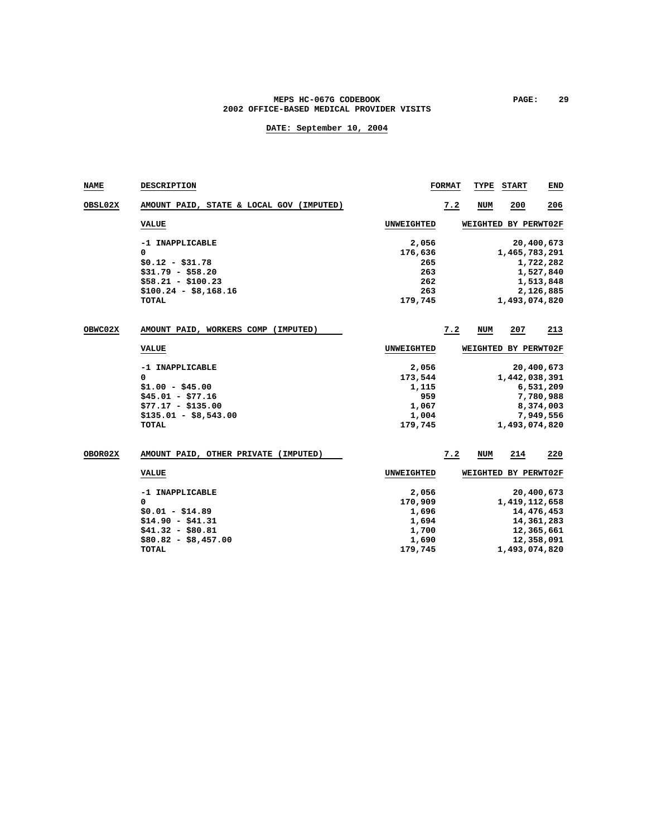### MEPS HC-067G CODEBOOK **PAGE:** 29 **2002 OFFICE-BASED MEDICAL PROVIDER VISITS**

| <b>NAME</b>    | DESCRIPTION                              |                   | <b>FORMAT</b> | TYPE       | <b>START</b>         | END        |
|----------------|------------------------------------------|-------------------|---------------|------------|----------------------|------------|
| <b>OBSL02X</b> | AMOUNT PAID, STATE & LOCAL GOV (IMPUTED) |                   | 7.2           | <b>NUM</b> | 200                  | 206        |
|                | <b>VALUE</b>                             | <b>UNWEIGHTED</b> |               |            | WEIGHTED BY PERWT02F |            |
|                | -1 INAPPLICABLE                          | 2,056             |               |            |                      | 20,400,673 |
|                | 0                                        | 176,636           |               |            | 1,465,783,291        |            |
|                | $$0.12 - $31.78$                         | 265               |               |            |                      | 1,722,282  |
|                | $$31.79 - $58.20$                        | 263               |               |            |                      | 1,527,840  |
|                | $$58.21 - $100.23$                       | 262               |               |            |                      | 1,513,848  |
|                | $$100.24 - $8,168.16$                    | 263               |               |            |                      | 2,126,885  |
|                | TOTAL                                    | 179,745           |               |            | 1,493,074,820        |            |
| <b>OBWC02X</b> | AMOUNT PAID, WORKERS COMP (IMPUTED)      |                   | 7.2           | <b>NUM</b> | 207                  | 213        |
|                | <b>VALUE</b>                             | <b>UNWEIGHTED</b> |               |            | WEIGHTED BY PERWT02F |            |
|                | -1 INAPPLICABLE                          | 2,056             |               |            |                      | 20,400,673 |
|                | 0                                        | 173,544           |               |            | 1,442,038,391        |            |
|                | $$1.00 - $45.00$                         | 1,115             |               |            |                      | 6,531,209  |
|                | $$45.01 - $77.16$                        | 959               |               |            |                      | 7,780,988  |
|                | $$77.17 - $135.00$                       | 1,067             |               |            |                      | 8,374,003  |
|                | $$135.01 - $8,543.00$                    | 1,004             |               |            |                      | 7,949,556  |
|                | <b>TOTAL</b>                             | 179,745           |               |            | 1,493,074,820        |            |
| <b>OBOR02X</b> | AMOUNT PAID, OTHER PRIVATE (IMPUTED)     |                   | 7.2           | NUM        | 214                  | 220        |
|                | <b>VALUE</b>                             | <b>UNWEIGHTED</b> |               |            | WEIGHTED BY PERWT02F |            |
|                | -1 INAPPLICABLE                          | 2,056             |               |            |                      | 20,400,673 |
|                | 0                                        | 170,909           |               |            | 1,419,112,658        |            |
|                | $$0.01 - $14.89$                         | 1,696             |               |            |                      | 14,476,453 |
|                | $$14.90 - $41.31$                        | 1,694             |               |            |                      | 14,361,283 |
|                | $$41.32 - $80.81$                        | 1,700             |               |            |                      | 12,365,661 |
|                | $$80.82 - $8,457.00$                     | 1,690             |               |            |                      | 12,358,091 |
|                | TOTAL                                    | 179,745           |               |            | 1,493,074,820        |            |
|                |                                          |                   |               |            |                      |            |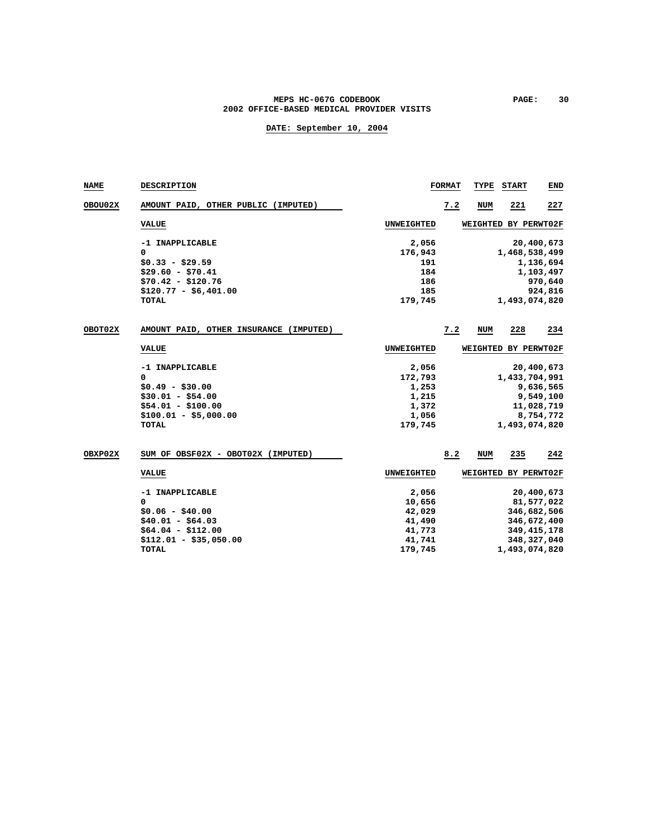#### MEPS HC-067G CODEBOOK PAGE: 30 **2002 OFFICE-BASED MEDICAL PROVIDER VISITS**

| <b>NAME</b> | DESCRIPTION                               |                   | <b>FORMAT</b> | TYPE            | <b>START</b>         | END           |
|-------------|-------------------------------------------|-------------------|---------------|-----------------|----------------------|---------------|
| OBOU02X     | AMOUNT PAID, OTHER PUBLIC (IMPUTED)       |                   | 7.2           | <b>NUM</b>      | 221                  | 227           |
|             | <b>VALUE</b>                              | UNWEIGHTED        |               |                 | WEIGHTED BY PERWT02F |               |
|             | -1 INAPPLICABLE                           | 2,056             |               |                 |                      | 20,400,673    |
|             | 0                                         | 176,943           |               |                 | 1,468,538,499        |               |
|             | $$0.33 - $29.59$                          | 191               |               |                 |                      | 1,136,694     |
|             | $$29.60 - $70.41$                         | 184               |               |                 |                      | 1,103,497     |
|             | $$70.42 - $120.76$                        | 186               |               |                 |                      | 970,640       |
|             | $$120.77 - $6,401.00$                     | 185               |               |                 |                      | 924,816       |
|             | TOTAL                                     | 179,745           |               |                 | 1,493,074,820        |               |
| OBOT02X     | AMOUNT PAID, OTHER INSURANCE<br>(IMPUTED) |                   | 7.2           | <b>NUM</b>      | 228                  | 234           |
|             | <b>VALUE</b>                              | <b>UNWEIGHTED</b> |               | <b>WEIGHTED</b> | BY PERWT02F          |               |
|             | -1 INAPPLICABLE                           | 2,056             |               |                 |                      | 20,400,673    |
|             | 0                                         | 172,793           |               |                 | 1,433,704,991        |               |
|             | $$0.49 - $30.00$                          | 1,253             |               |                 |                      | 9,636,565     |
|             | $$30.01 - $54.00$                         | 1,215             |               |                 |                      | 9,549,100     |
|             | $$54.01 - $100.00$                        | 1,372             |               |                 |                      | 11,028,719    |
|             | $$100.01 - $5,000.00$                     | 1,056             |               |                 |                      | 8,754,772     |
|             | <b>TOTAL</b>                              | 179,745           |               |                 | 1,493,074,820        |               |
| OBXP02X     | SUM OF OBSF02X - OBOT02X (IMPUTED)        |                   |               |                 |                      |               |
|             |                                           |                   | 8.2           | NUM             | 235                  | 242           |
|             | <b>VALUE</b>                              | <b>UNWEIGHTED</b> |               |                 | WEIGHTED BY PERWT02F |               |
|             | -1 INAPPLICABLE                           | 2,056             |               |                 |                      | 20,400,673    |
|             | 0                                         | 10,656            |               |                 |                      | 81,577,022    |
|             | $$0.06 - $40.00$                          | 42,029            |               |                 |                      | 346,682,506   |
|             | $$40.01 - $64.03$                         | 41,490            |               |                 |                      | 346,672,400   |
|             | $$64.04 - $112.00$                        | 41,773            |               |                 |                      | 349, 415, 178 |
|             | $$112.01 - $35,050.00$                    | 41,741            |               |                 |                      | 348, 327, 040 |
|             | TOTAL                                     | 179,745           |               |                 | 1,493,074,820        |               |
|             |                                           |                   |               |                 |                      |               |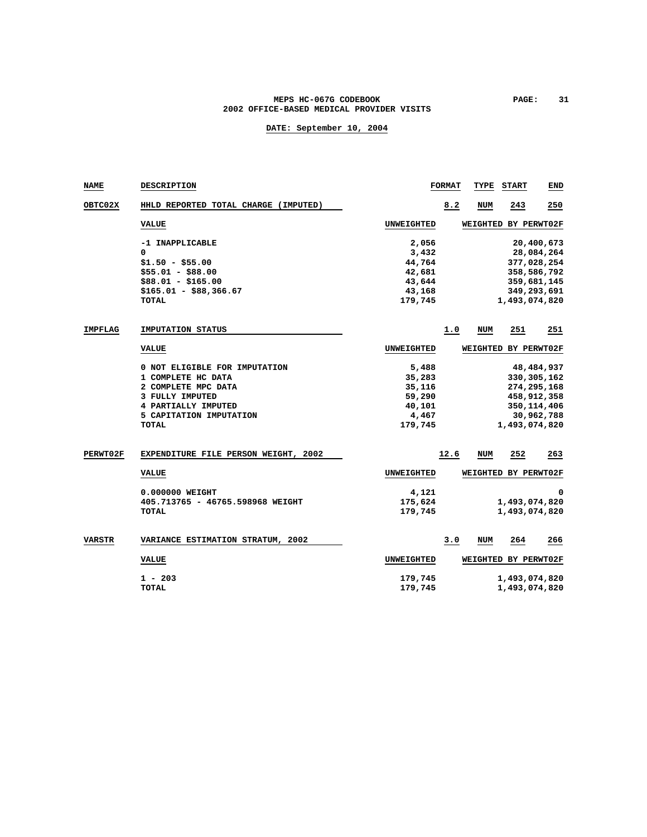### MEPS HC-067G CODEBOOK PAGE: 31 **2002 OFFICE-BASED MEDICAL PROVIDER VISITS**

| NAME            | DESCRIPTION                          |                   | <b>FORMAT</b> | TYPE | <b>START</b>         | END          |
|-----------------|--------------------------------------|-------------------|---------------|------|----------------------|--------------|
| <b>OBTC02X</b>  | HHLD REPORTED TOTAL CHARGE (IMPUTED) |                   | 8.2           | NUM  | 243                  | 250          |
|                 | <b>VALUE</b>                         | <b>UNWEIGHTED</b> |               |      | WEIGHTED BY PERWT02F |              |
|                 | -1 INAPPLICABLE                      | 2,056             |               |      |                      | 20,400,673   |
|                 | 0                                    | 3,432             |               |      |                      | 28,084,264   |
|                 | $$1.50 - $55.00$                     | 44,764            |               |      | 377,028,254          |              |
|                 | $$55.01 - $88.00$                    | 42,681            |               |      | 358,586,792          |              |
|                 | $$88.01 - $165.00$                   | 43,644            |               |      | 359,681,145          |              |
|                 | $$165.01 - $88,366.67$               | 43,168            |               |      | 349,293,691          |              |
|                 | TOTAL                                | 179,745           |               |      | 1,493,074,820        |              |
| <b>IMPFLAG</b>  | IMPUTATION STATUS                    |                   | 1.0           | NUM  | 251                  | 251          |
|                 | <b>VALUE</b>                         | <b>UNWEIGHTED</b> |               |      | WEIGHTED BY PERWT02F |              |
|                 | 0 NOT ELIGIBLE FOR IMPUTATION        | 5,488             |               |      |                      | 48, 484, 937 |
|                 | 1 COMPLETE HC DATA                   | 35,283            |               |      | 330, 305, 162        |              |
|                 | 2 COMPLETE MPC DATA                  | 35,116            |               |      | 274, 295, 168        |              |
|                 | 3 FULLY IMPUTED                      | 59,290            |               |      | 458,912,358          |              |
|                 | 4 PARTIALLY IMPUTED                  | 40,101            |               |      | 350, 114, 406        |              |
|                 | 5 CAPITATION IMPUTATION              | 4,467             |               |      |                      | 30,962,788   |
|                 | TOTAL                                | 179,745           |               |      | 1,493,074,820        |              |
| <b>PERWT02F</b> | EXPENDITURE FILE PERSON WEIGHT, 2002 |                   | 12.6          | NUM  | 252                  | 263          |
|                 | <b>VALUE</b>                         | <b>UNWEIGHTED</b> |               |      | WEIGHTED BY PERWT02F |              |
|                 |                                      |                   |               |      |                      |              |
|                 | 0.000000 WEIGHT                      | 4,121             |               |      |                      | 0            |
|                 | 405.713765 - 46765.598968 WEIGHT     | 175,624           |               |      | 1,493,074,820        |              |
|                 | TOTAL                                | 179,745           |               |      | 1,493,074,820        |              |
| VARSTR          | VARIANCE ESTIMATION STRATUM, 2002    |                   | 3.0           | NUM  | 264                  | 266          |
|                 | <b>VALUE</b>                         | <b>UNWEIGHTED</b> |               |      | WEIGHTED BY PERWT02F |              |
|                 | $1 - 203$                            | 179,745           |               |      | 1,493,074,820        |              |
|                 | <b>TOTAL</b>                         | 179,745           |               |      | 1,493,074,820        |              |
|                 |                                      |                   |               |      |                      |              |